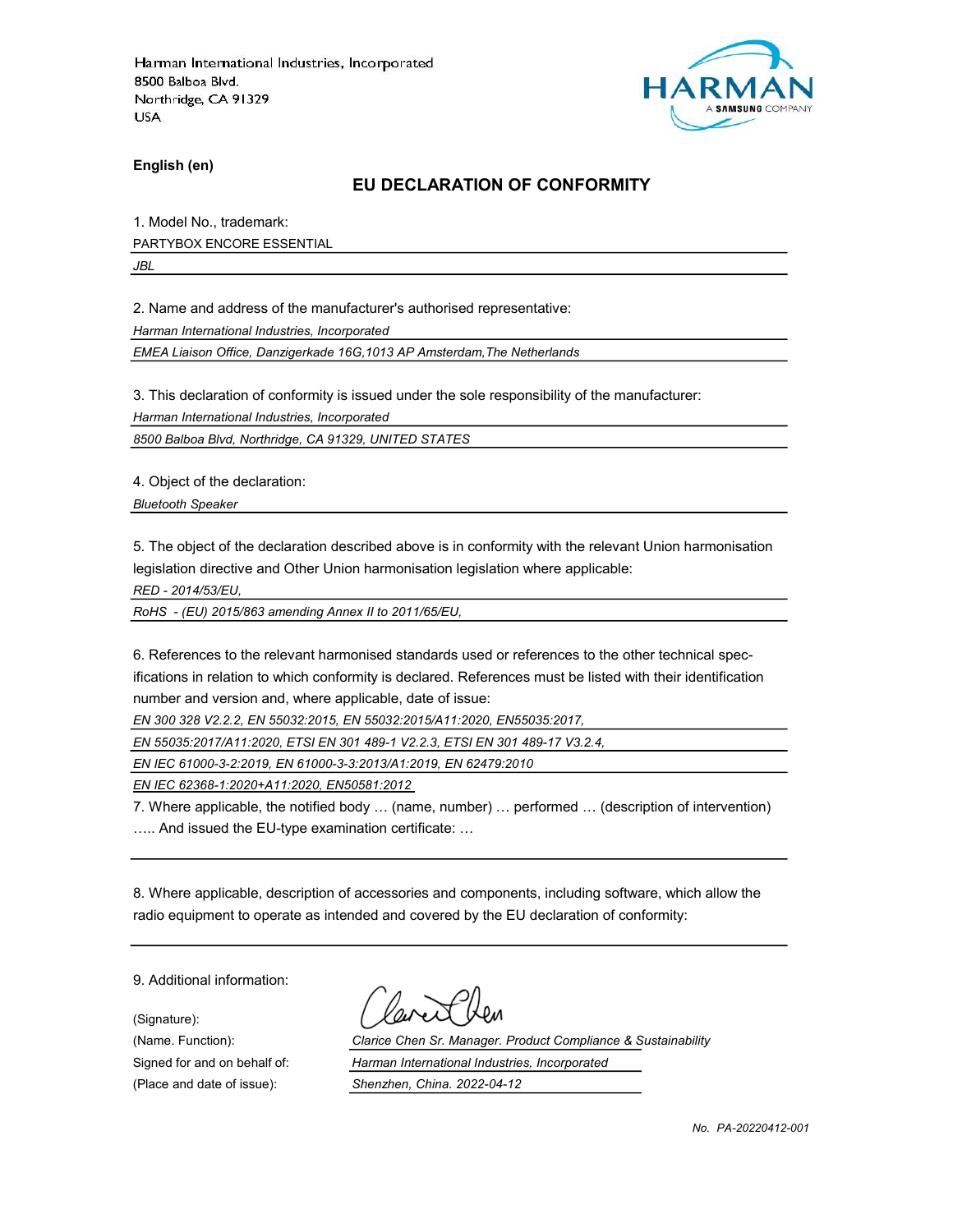

English (en)

#### EU DECLARATION OF CONFORMITY

1. Model No., trademark: PARTYBOX ENCORE ESSENTIAL

JBL

2. Name and address of the manufacturer's authorised representative:

Harman International Industries, Incorporated

EMEA Liaison Office, Danzigerkade 16G,1013 AP Amsterdam,The Netherlands

3. This declaration of conformity is issued under the sole responsibility of the manufacturer:

Harman International Industries, Incorporated

8500 Balboa Blvd, Northridge, CA 91329, UNITED STATES

4. Object of the declaration:

Bluetooth Speaker

5. The object of the declaration described above is in conformity with the relevant Union harmonisation legislation directive and Other Union harmonisation legislation where applicable:

RED - 2014/53/EU,

RoHS - (EU) 2015/863 amending Annex II to 2011/65/EU,

6. References to the relevant harmonised standards used or references to the other technical specifications in relation to which conformity is declared. References must be listed with their identification number and version and, where applicable, date of issue:

EN 300 328 V2.2.2, EN 55032:2015, EN 55032:2015/A11:2020, EN55035:2017,

EN 55035:2017/A11:2020, ETSI EN 301 489-1 V2.2.3, ETSI EN 301 489-17 V3.2.4,

EN IEC 61000-3-2:2019, EN 61000-3-3:2013/A1:2019, EN 62479:2010

EN IEC 62368-1:2020+A11:2020, EN50581:2012

7. Where applicable, the notified body … (name, number) … performed … (description of intervention) ….. And issued the EU-type examination certificate: …

8. Where applicable, description of accessories and components, including software, which allow the radio equipment to operate as intended and covered by the EU declaration of conformity:

9. Additional information:

(Signature):

(Name. Function): Clarice Chen Sr. Manager. Product Compliance & Sustainability Signed for and on behalf of: Harman International Industries, Incorporated (Place and date of issue): Shenzhen, China. 2022-04-12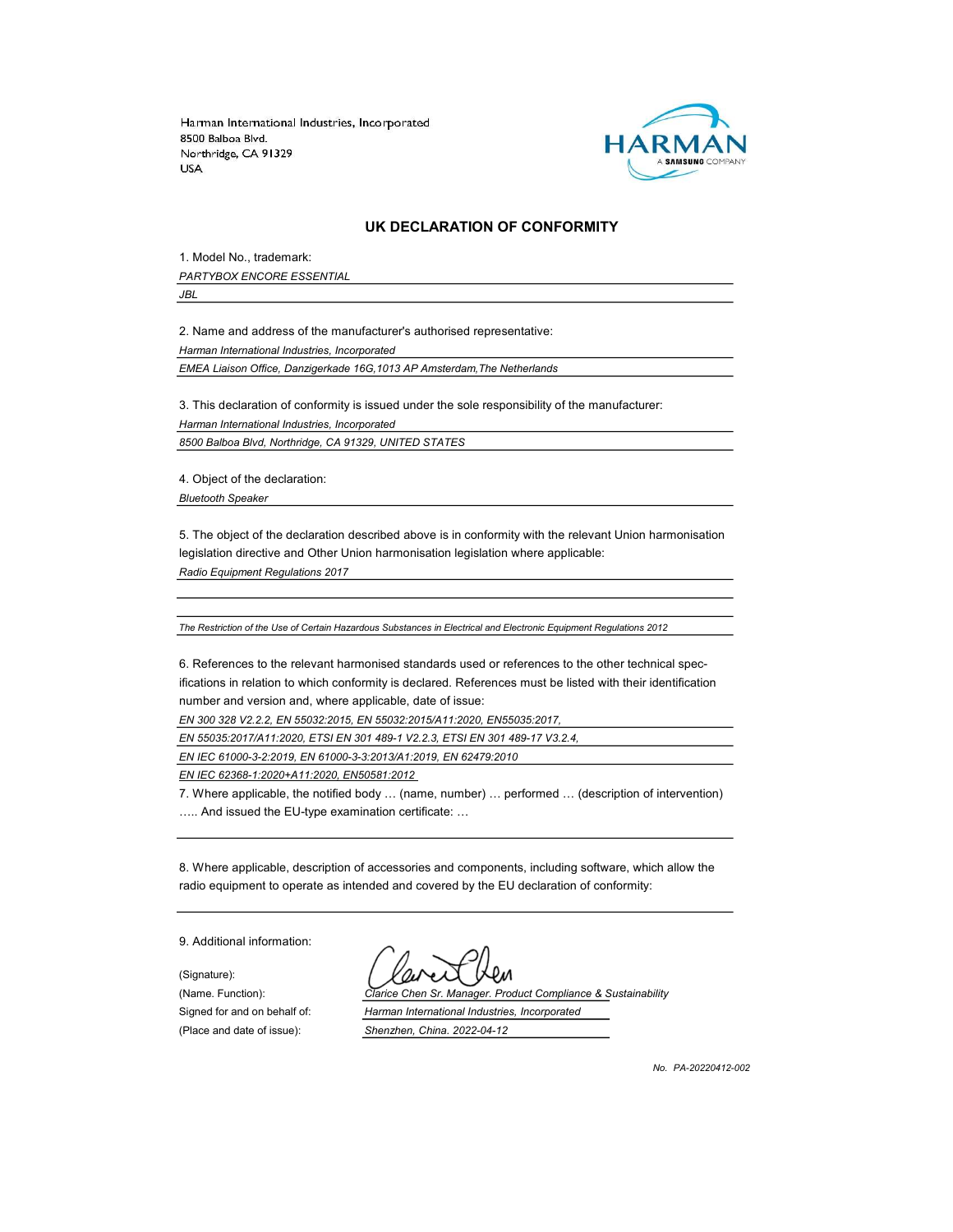

#### UK DECLARATION OF CONFORMITY

1. Model No., trademark: PARTYBOX ENCORE ESSENTIAL

JBL

2. Name and address of the manufacturer's authorised representative:

Harman International Industries, Incorporated

EMEA Liaison Office, Danzigerkade 16G,1013 AP Amsterdam,The Netherlands

3. This declaration of conformity is issued under the sole responsibility of the manufacturer:

Harman International Industries, Incorporated

8500 Balboa Blvd, Northridge, CA 91329, UNITED STATES

4. Object of the declaration:

Bluetooth Speaker

5. The object of the declaration described above is in conformity with the relevant Union harmonisation legislation directive and Other Union harmonisation legislation where applicable:

Radio Equipment Regulations 2017

The Restriction of the Use of Certain Hazardous Substances in Electrical and Electronic Equipment Regulations 2012

6. References to the relevant harmonised standards used or references to the other technical specifications in relation to which conformity is declared. References must be listed with their identification number and version and, where applicable, date of issue:

EN 300 328 V2.2.2, EN 55032:2015, EN 55032:2015/A11:2020, EN55035:2017,

EN 55035:2017/A11:2020, ETSI EN 301 489-1 V2.2.3, ETSI EN 301 489-17 V3.2.4,

EN IEC 61000-3-2:2019, EN 61000-3-3:2013/A1:2019, EN 62479:2010

EN IEC 62368-1:2020+A11:2020, EN50581:2012

7. Where applicable, the notified body … (name, number) … performed … (description of intervention) ….. And issued the EU-type examination certificate: …

8. Where applicable, description of accessories and components, including software, which allow the radio equipment to operate as intended and covered by the EU declaration of conformity:

9. Additional information:

(Signature): (Place and date of issue): Shenzhen, China. 2022-04-12

(Name. Function): Clarice Chen Sr. Manager. Product Compliance & Sustainability Signed for and on behalf of: Harman International Industries, Incorporated

No. PA-20220412-002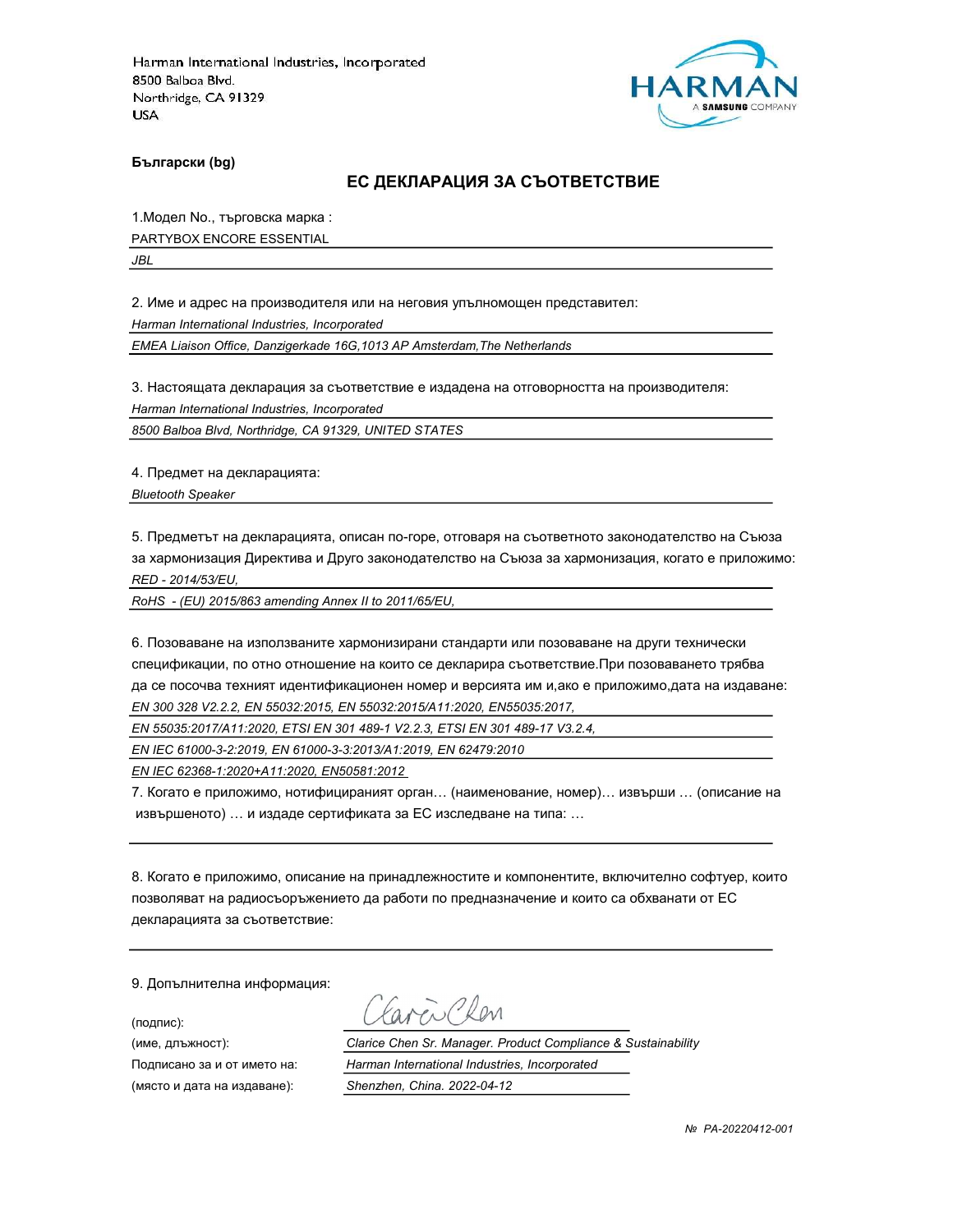

Български (bg)

#### ЕС ДЕКЛАРАЦИЯ ЗА СЪОТВЕТСТВИЕ

1.Модел No., търговска марка :

PARTYBOX ENCORE ESSENTIAL

JBL

2. Име и адрес на производителя или на неговия упълномощен представител:

Harman International Industries, Incorporated

EMEA Liaison Office, Danzigerkade 16G,1013 AP Amsterdam,The Netherlands

3. Настоящата декларация за съответствие е издадена на отговорността на производителя:

Harman International Industries, Incorporated

8500 Balboa Blvd, Northridge, CA 91329, UNITED STATES

4. Предмет на декларацията:

Bluetooth Speaker

5. Предметът на декларацията, описан по-горе, отговаря на съответното законодателство на Съюза за хармонизация Директива и Друго законодателство на Съюза за хармонизация, когато е приложимо: RED - 2014/53/EU,

RoHS - (EU) 2015/863 amending Annex II to 2011/65/EU,

6. Позоваване на използваните хармонизирани стандарти или позоваване на други технически спецификации, по отно отношение на които се декларира съответствие.При позоваването трябва да се посочва техният идентификационен номер и версията им и,ако е приложимо,дата на издаване: EN 300 328 V2.2.2, EN 55032:2015, EN 55032:2015/A11:2020, EN55035:2017,

EN 55035:2017/A11:2020, ETSI EN 301 489-1 V2.2.3, ETSI EN 301 489-17 V3.2.4,

EN IEC 61000-3-2:2019, EN 61000-3-3:2013/A1:2019, EN 62479:2010

EN IEC 62368-1:2020+A11:2020, EN50581:2012

7. Когато е приложимо, нотифицираният орган… (наименование, номер)… извърши … (описание на извършеното) … и издаде сертификата за ЕС изследване на типа: …

8. Когато е приложимо, описание на принадлежностите и компонентите, включително софтуер, които позволяват на радиосъоръжението да работи по предназначение и които са обхванати от ЕС декларацията за съответствие:

9. Допълнителна информация:

(подпис):

Earen Clem

(име, длъжност): Clarice Chen Sr. Manager. Product Compliance & Sustainability Подписано за и от името на: Harman International Industries, Incorporated (място и дата на издаване): Shenzhen, China. 2022-04-12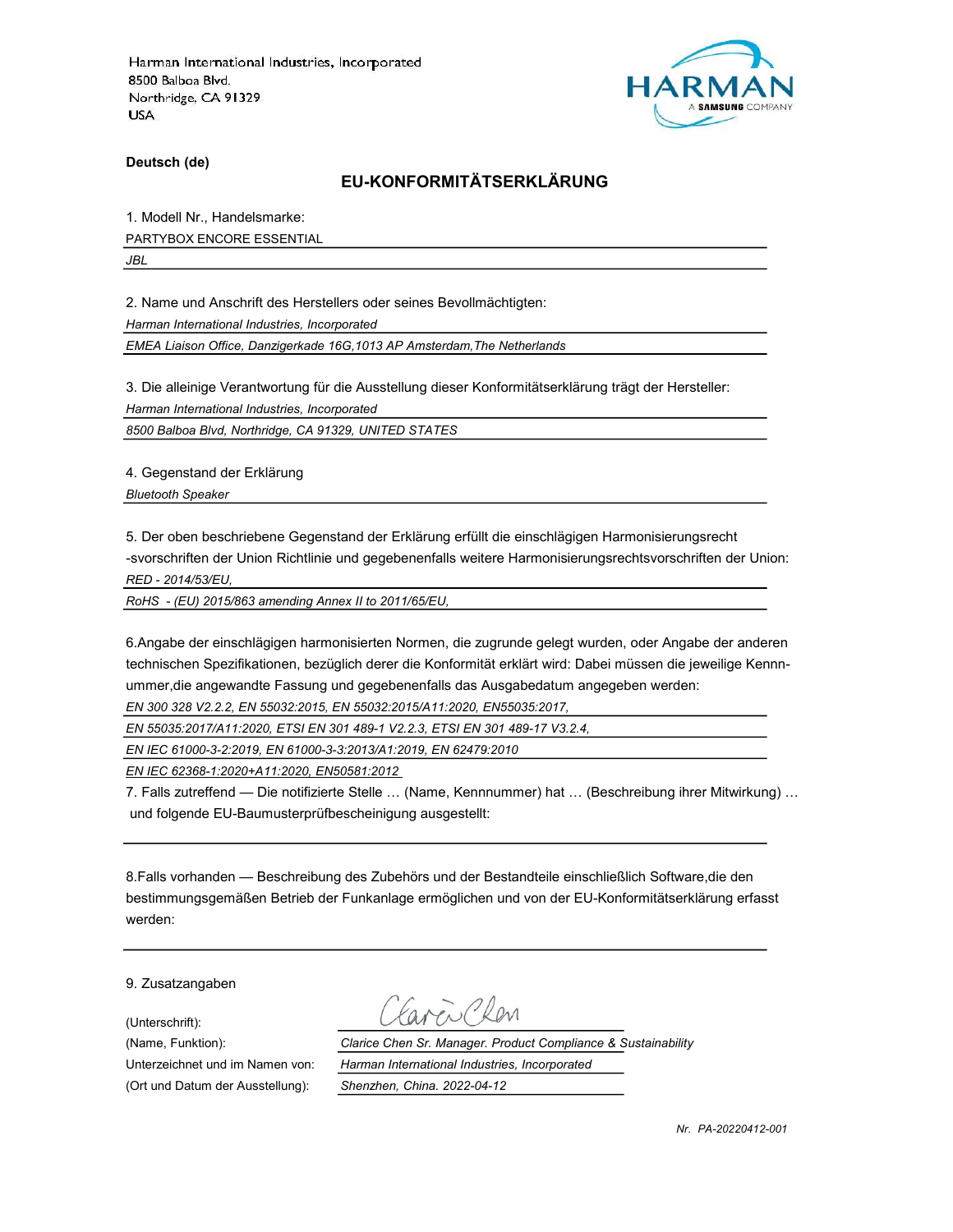

Deutsch (de)

# EU-KONFORMITÄTSERKLÄRUNG

1. Modell Nr., Handelsmarke:

PARTYBOX ENCORE ESSENTIAL

JBL

2. Name und Anschrift des Herstellers oder seines Bevollmächtigten:

Harman International Industries, Incorporated

EMEA Liaison Office, Danzigerkade 16G,1013 AP Amsterdam,The Netherlands

3. Die alleinige Verantwortung für die Ausstellung dieser Konformitätserklärung trägt der Hersteller:

Harman International Industries, Incorporated

8500 Balboa Blvd, Northridge, CA 91329, UNITED STATES

4. Gegenstand der Erklärung

Bluetooth Speaker

5. Der oben beschriebene Gegenstand der Erklärung erfüllt die einschlägigen Harmonisierungsrecht -svorschriften der Union Richtlinie und gegebenenfalls weitere Harmonisierungsrechtsvorschriften der Union:

RED - 2014/53/EU,

RoHS - (EU) 2015/863 amending Annex II to 2011/65/EU,

6.Angabe der einschlägigen harmonisierten Normen, die zugrunde gelegt wurden, oder Angabe der anderen technischen Spezifikationen, bezüglich derer die Konformität erklärt wird: Dabei müssen die jeweilige Kennnummer,die angewandte Fassung und gegebenenfalls das Ausgabedatum angegeben werden:

EN 300 328 V2.2.2, EN 55032:2015, EN 55032:2015/A11:2020, EN55035:2017,

EN 55035:2017/A11:2020, ETSI EN 301 489-1 V2.2.3, ETSI EN 301 489-17 V3.2.4,

EN IEC 61000-3-2:2019, EN 61000-3-3:2013/A1:2019, EN 62479:2010

EN IEC 62368-1:2020+A11:2020, EN50581:2012

7. Falls zutreffend — Die notifizierte Stelle … (Name, Kennnummer) hat … (Beschreibung ihrer Mitwirkung) … und folgende EU-Baumusterprüfbescheinigung ausgestellt:

8.Falls vorhanden — Beschreibung des Zubehörs und der Bestandteile einschließlich Software,die den bestimmungsgemäßen Betrieb der Funkanlage ermöglichen und von der EU-Konformitätserklärung erfasst werden:

9. Zusatzangaben

(Unterschrift):

(Ort und Datum der Ausstellung): Shenzhen, China. 2022-04-12

Caren Clen

(Name, Funktion): Clarice Chen Sr. Manager. Product Compliance & Sustainability Unterzeichnet und im Namen von: Harman International Industries, Incorporated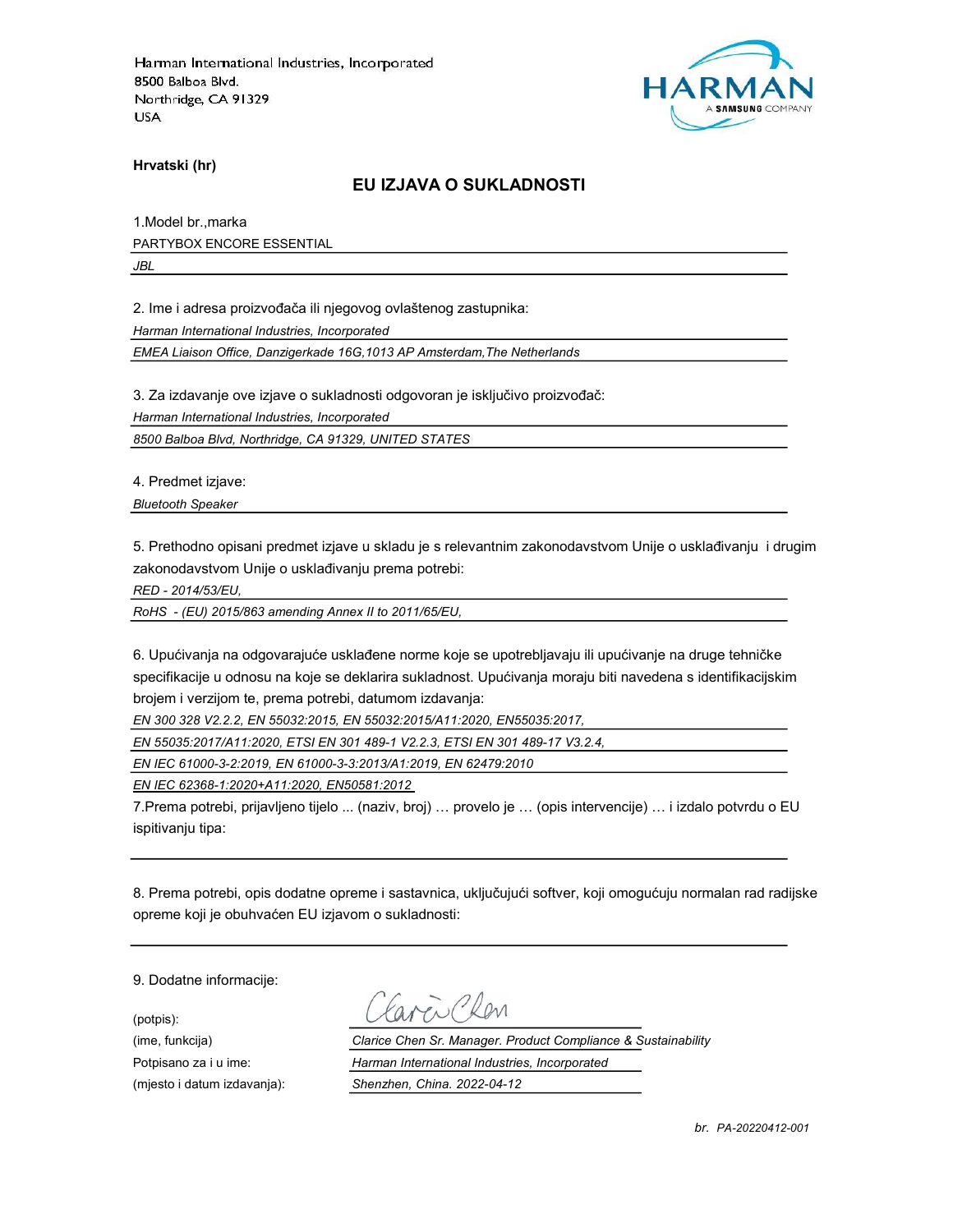

Hrvatski (hr)

#### EU IZJAVA O SUKLADNOSTI

1.Model br.,marka PARTYBOX ENCORE ESSENTIAL

JBL

2. Ime i adresa proizvođača ili njegovog ovlaštenog zastupnika:

Harman International Industries, Incorporated

EMEA Liaison Office, Danzigerkade 16G,1013 AP Amsterdam,The Netherlands

3. Za izdavanje ove izjave o sukladnosti odgovoran je isključivo proizvođač:

Harman International Industries, Incorporated

8500 Balboa Blvd, Northridge, CA 91329, UNITED STATES

4. Predmet izjave:

Bluetooth Speaker

5. Prethodno opisani predmet izjave u skladu je s relevantnim zakonodavstvom Unije o usklađivanju i drugim zakonodavstvom Unije o usklađivanju prema potrebi:

RED - 2014/53/EU,

RoHS - (EU) 2015/863 amending Annex II to 2011/65/EU,

6. Upućivanja na odgovarajuće usklađene norme koje se upotrebljavaju ili upućivanje na druge tehničke specifikacije u odnosu na koje se deklarira sukladnost. Upućivanja moraju biti navedena s identifikacijskim brojem i verzijom te, prema potrebi, datumom izdavanja:

EN 300 328 V2.2.2, EN 55032:2015, EN 55032:2015/A11:2020, EN55035:2017,

EN 55035:2017/A11:2020, ETSI EN 301 489-1 V2.2.3, ETSI EN 301 489-17 V3.2.4,

EN IEC 61000-3-2:2019, EN 61000-3-3:2013/A1:2019, EN 62479:2010

EN IEC 62368-1:2020+A11:2020, EN50581:2012

7.Prema potrebi, prijavljeno tijelo ... (naziv, broj) … provelo je … (opis intervencije) … i izdalo potvrdu o EU ispitivanju tipa:

8. Prema potrebi, opis dodatne opreme i sastavnica, uključujući softver, koji omogućuju normalan rad radijske opreme koji je obuhvaćen EU izjavom o sukladnosti:

9. Dodatne informacije:

(potpis):

en Clan

(ime, funkcija) Clarice Chen Sr. Manager. Product Compliance & Sustainability Potpisano za i u ime: **Harman International Industries**, Incorporated (mjesto i datum izdavanja): Shenzhen, China. 2022-04-12

br. PA-20220412-001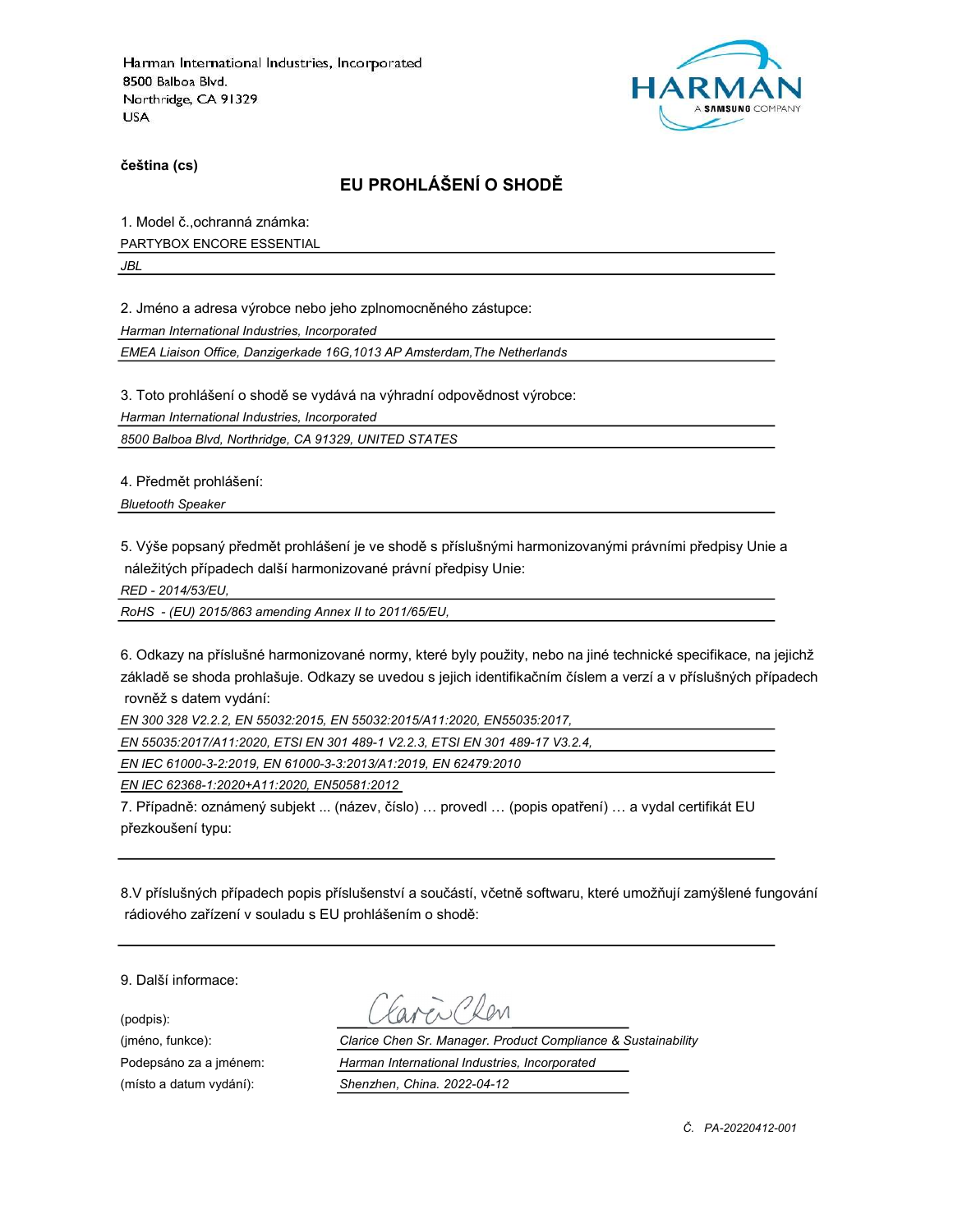

čeština (cs)

# EU PROHLÁŠENÍ O SHODĚ

1. Model č.,ochranná známka:

PARTYBOX ENCORE ESSENTIAL

JBL

2. Jméno a adresa výrobce nebo jeho zplnomocněného zástupce:

Harman International Industries, Incorporated

EMEA Liaison Office, Danzigerkade 16G,1013 AP Amsterdam,The Netherlands

3. Toto prohlášení o shodě se vydává na výhradní odpovědnost výrobce:

Harman International Industries, Incorporated

8500 Balboa Blvd, Northridge, CA 91329, UNITED STATES

4. Předmět prohlášení:

Bluetooth Speaker

5. Výše popsaný předmět prohlášení je ve shodě s příslušnými harmonizovanými právními předpisy Unie a náležitých případech další harmonizované právní předpisy Unie:

RED - 2014/53/EU,

RoHS - (EU) 2015/863 amending Annex II to 2011/65/EU,

6. Odkazy na příslušné harmonizované normy, které byly použity, nebo na jiné technické specifikace, na jejichž základě se shoda prohlašuje. Odkazy se uvedou s jejich identifikačním číslem a verzí a v příslušných případech rovněž s datem vydání:

EN 300 328 V2.2.2, EN 55032:2015, EN 55032:2015/A11:2020, EN55035:2017,

EN 55035:2017/A11:2020, ETSI EN 301 489-1 V2.2.3, ETSI EN 301 489-17 V3.2.4,

EN IEC 61000-3-2:2019, EN 61000-3-3:2013/A1:2019, EN 62479:2010

EN IEC 62368-1:2020+A11:2020, EN50581:2012

7. Případně: oznámený subjekt ... (název, číslo) … provedl … (popis opatření) … a vydal certifikát EU přezkoušení typu:

8.V příslušných případech popis příslušenství a součástí, včetně softwaru, které umožňují zamýšlené fungování rádiového zařízení v souladu s EU prohlášením o shodě:

9. Další informace:

(podpis):

(jméno, funkce): Clarice Chen Sr. Manager. Product Compliance & Sustainability Podepsáno za a jménem: Harman International Industries, Incorporated (místo a datum vydání): Shenzhen, China. 2022-04-12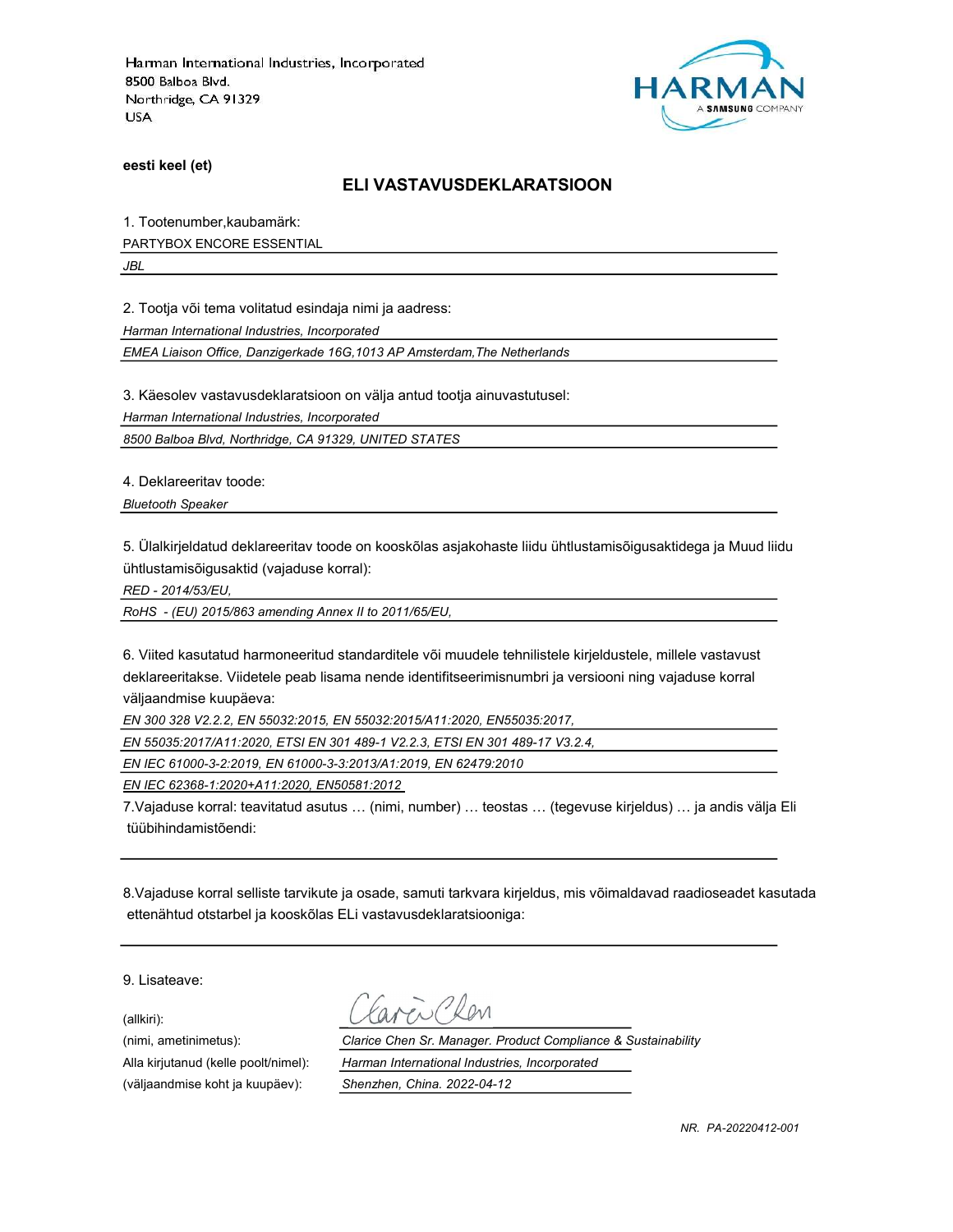

eesti keel (et)

#### ELI VASTAVUSDEKLARATSIOON

1. Tootenumber,kaubamärk:

PARTYBOX ENCORE ESSENTIAL

JBL

2. Tootja või tema volitatud esindaja nimi ja aadress:

Harman International Industries, Incorporated

EMEA Liaison Office, Danzigerkade 16G,1013 AP Amsterdam,The Netherlands

3. Käesolev vastavusdeklaratsioon on välja antud tootja ainuvastutusel:

Harman International Industries, Incorporated

8500 Balboa Blvd, Northridge, CA 91329, UNITED STATES

4. Deklareeritav toode:

Bluetooth Speaker

5. Ülalkirjeldatud deklareeritav toode on kooskõlas asjakohaste liidu ühtlustamisõigusaktidega ja Muud liidu ühtlustamisõigusaktid (vajaduse korral):

RED - 2014/53/EU,

RoHS - (EU) 2015/863 amending Annex II to 2011/65/EU,

6. Viited kasutatud harmoneeritud standarditele või muudele tehnilistele kirjeldustele, millele vastavust deklareeritakse. Viidetele peab lisama nende identifitseerimisnumbri ja versiooni ning vajaduse korral väljaandmise kuupäeva:

EN 300 328 V2.2.2, EN 55032:2015, EN 55032:2015/A11:2020, EN55035:2017,

EN 55035:2017/A11:2020, ETSI EN 301 489-1 V2.2.3, ETSI EN 301 489-17 V3.2.4,

EN IEC 61000-3-2:2019, EN 61000-3-3:2013/A1:2019, EN 62479:2010

EN IEC 62368-1:2020+A11:2020, EN50581:2012

7.Vajaduse korral: teavitatud asutus … (nimi, number) … teostas … (tegevuse kirjeldus) … ja andis välja Eli tüübihindamistõendi:

8.Vajaduse korral selliste tarvikute ja osade, samuti tarkvara kirjeldus, mis võimaldavad raadioseadet kasutada ettenähtud otstarbel ja kooskõlas ELi vastavusdeklaratsiooniga:

9. Lisateave:

(allkiri):

(nimi, ametinimetus): Clarice Chen Sr. Manager. Product Compliance & Sustainability Alla kirjutanud (kelle poolt/nimel): Harman International Industries, Incorporated (väljaandmise koht ja kuupäev): Shenzhen, China. 2022-04-12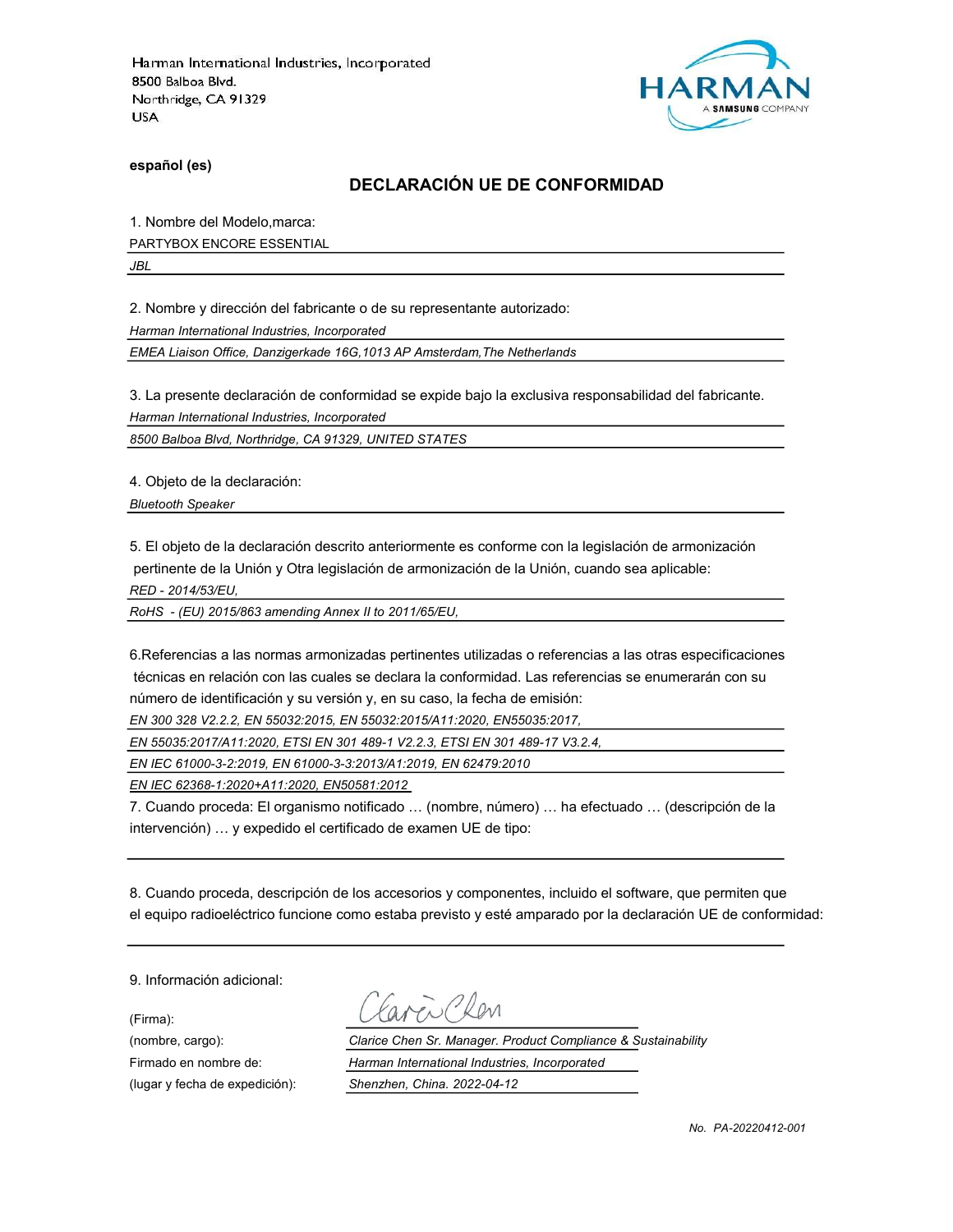

español (es)

#### DECLARACIÓN UE DE CONFORMIDAD

1. Nombre del Modelo,marca:

PARTYBOX ENCORE ESSENTIAL

JBL

2. Nombre y dirección del fabricante o de su representante autorizado:

Harman International Industries, Incorporated

EMEA Liaison Office, Danzigerkade 16G,1013 AP Amsterdam,The Netherlands

3. La presente declaración de conformidad se expide bajo la exclusiva responsabilidad del fabricante.

Harman International Industries, Incorporated

8500 Balboa Blvd, Northridge, CA 91329, UNITED STATES

4. Objeto de la declaración:

Bluetooth Speaker

5. El objeto de la declaración descrito anteriormente es conforme con la legislación de armonización pertinente de la Unión y Otra legislación de armonización de la Unión, cuando sea aplicable:

RED - 2014/53/EU,

RoHS - (EU) 2015/863 amending Annex II to 2011/65/EU,

6.Referencias a las normas armonizadas pertinentes utilizadas o referencias a las otras especificaciones técnicas en relación con las cuales se declara la conformidad. Las referencias se enumerarán con su número de identificación y su versión y, en su caso, la fecha de emisión:

EN 300 328 V2.2.2, EN 55032:2015, EN 55032:2015/A11:2020, EN55035:2017,

EN 55035:2017/A11:2020, ETSI EN 301 489-1 V2.2.3, ETSI EN 301 489-17 V3.2.4,

EN IEC 61000-3-2:2019, EN 61000-3-3:2013/A1:2019, EN 62479:2010

EN IEC 62368-1:2020+A11:2020, EN50581:2012

7. Cuando proceda: El organismo notificado … (nombre, número) … ha efectuado … (descripción de la intervención) … y expedido el certificado de examen UE de tipo:

8. Cuando proceda, descripción de los accesorios y componentes, incluido el software, que permiten que el equipo radioeléctrico funcione como estaba previsto y esté amparado por la declaración UE de conformidad:

9. Información adicional:

(Firma):

EN PROM

(nombre, cargo): Clarice Chen Sr. Manager. Product Compliance & Sustainability Firmado en nombre de: Harman International Industries, Incorporated (lugar y fecha de expedición): Shenzhen, China. 2022-04-12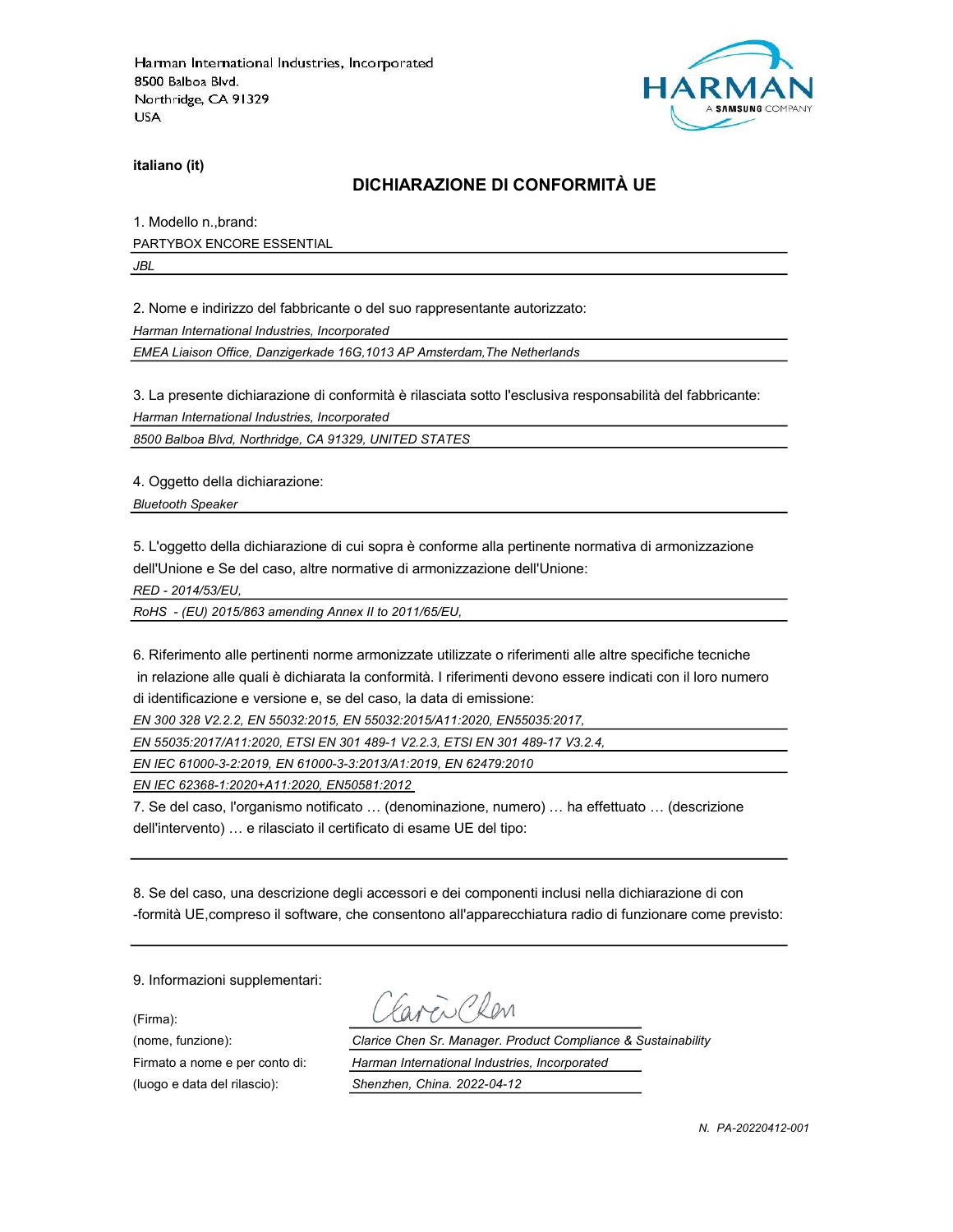

italiano (it)

### DICHIARAZIONE DI CONFORMITÀ UE

1. Modello n.,brand: PARTYBOX ENCORE ESSENTIAL

JBL

2. Nome e indirizzo del fabbricante o del suo rappresentante autorizzato:

Harman International Industries, Incorporated

EMEA Liaison Office, Danzigerkade 16G,1013 AP Amsterdam,The Netherlands

3. La presente dichiarazione di conformità è rilasciata sotto l'esclusiva responsabilità del fabbricante:

Harman International Industries, Incorporated

8500 Balboa Blvd, Northridge, CA 91329, UNITED STATES

4. Oggetto della dichiarazione:

Bluetooth Speaker

5. L'oggetto della dichiarazione di cui sopra è conforme alla pertinente normativa di armonizzazione dell'Unione e Se del caso, altre normative di armonizzazione dell'Unione:

RED - 2014/53/EU,

RoHS - (EU) 2015/863 amending Annex II to 2011/65/EU,

6. Riferimento alle pertinenti norme armonizzate utilizzate o riferimenti alle altre specifiche tecniche in relazione alle quali è dichiarata la conformità. I riferimenti devono essere indicati con il loro numero di identificazione e versione e, se del caso, la data di emissione:

EN 300 328 V2.2.2, EN 55032:2015, EN 55032:2015/A11:2020, EN55035:2017,

EN 55035:2017/A11:2020, ETSI EN 301 489-1 V2.2.3, ETSI EN 301 489-17 V3.2.4,

EN IEC 61000-3-2:2019, EN 61000-3-3:2013/A1:2019, EN 62479:2010

EN IEC 62368-1:2020+A11:2020, EN50581:2012

7. Se del caso, l'organismo notificato … (denominazione, numero) … ha effettuato … (descrizione dell'intervento) … e rilasciato il certificato di esame UE del tipo:

8. Se del caso, una descrizione degli accessori e dei componenti inclusi nella dichiarazione di con -formità UE,compreso il software, che consentono all'apparecchiatura radio di funzionare come previsto:

9. Informazioni supplementari:

(Firma):

aven Clen

(nome, funzione): Clarice Chen Sr. Manager. Product Compliance & Sustainability Firmato a nome e per conto di: Harman International Industries, Incorporated (luogo e data del rilascio): Shenzhen, China. 2022-04-12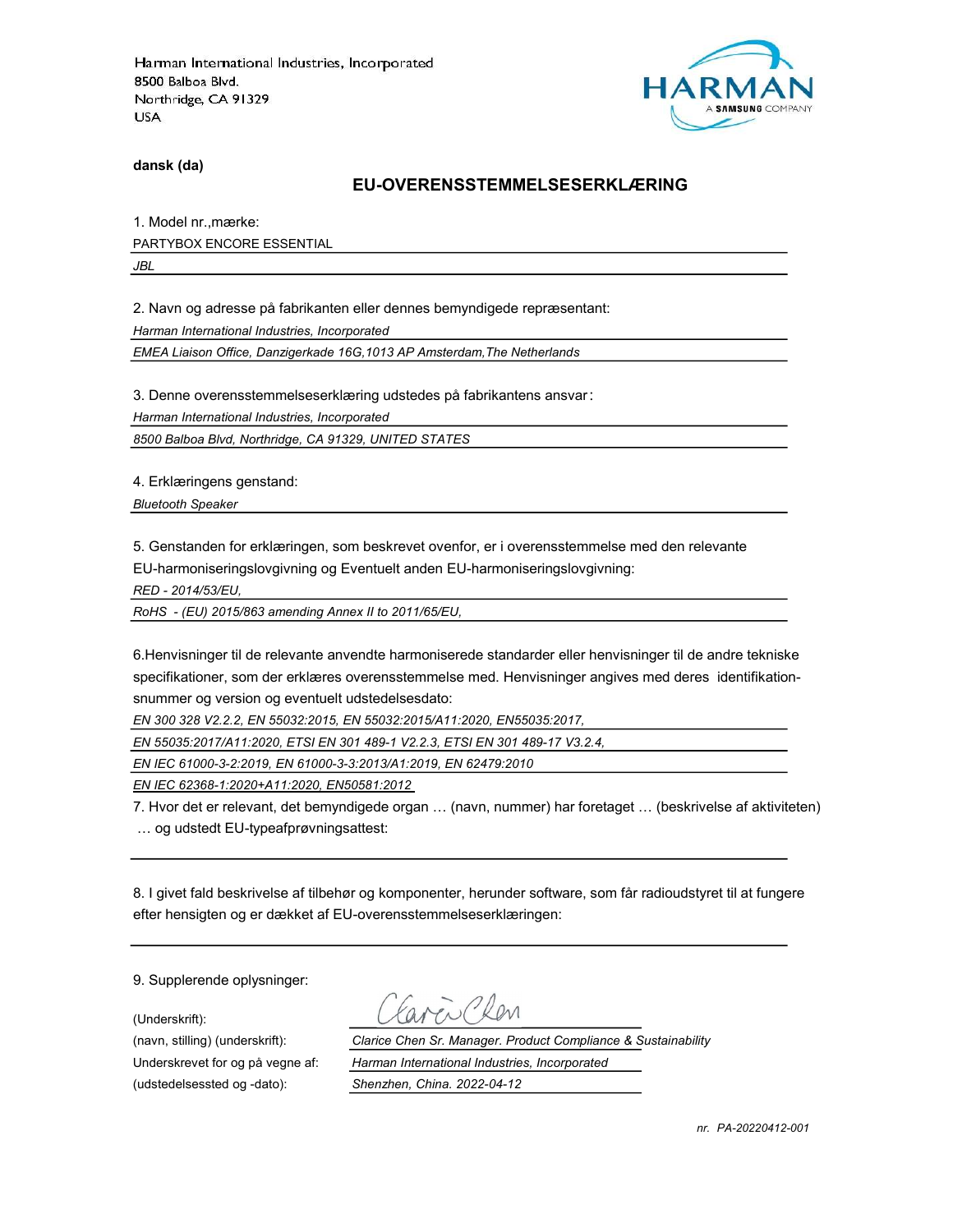

dansk (da)

#### EU-OVERENSSTEMMELSESERKLÆRING

1. Model nr.,mærke: PARTYBOX ENCORE ESSENTIAL

JBL

2. Navn og adresse på fabrikanten eller dennes bemyndigede repræsentant:

Harman International Industries, Incorporated

EMEA Liaison Office, Danzigerkade 16G,1013 AP Amsterdam,The Netherlands

3. Denne overensstemmelseserklæring udstedes på fabrikantens ansvar:

Harman International Industries, Incorporated

8500 Balboa Blvd, Northridge, CA 91329, UNITED STATES

4. Erklæringens genstand:

Bluetooth Speaker

5. Genstanden for erklæringen, som beskrevet ovenfor, er i overensstemmelse med den relevante

EU-harmoniseringslovgivning og Eventuelt anden EU-harmoniseringslovgivning:

RED - 2014/53/EU,

RoHS - (EU) 2015/863 amending Annex II to 2011/65/EU,

6.Henvisninger til de relevante anvendte harmoniserede standarder eller henvisninger til de andre tekniske specifikationer, som der erklæres overensstemmelse med. Henvisninger angives med deres identifikationsnummer og version og eventuelt udstedelsesdato:

EN 300 328 V2.2.2, EN 55032:2015, EN 55032:2015/A11:2020, EN55035:2017,

EN 55035:2017/A11:2020, ETSI EN 301 489-1 V2.2.3, ETSI EN 301 489-17 V3.2.4,

EN IEC 61000-3-2:2019, EN 61000-3-3:2013/A1:2019, EN 62479:2010

EN IEC 62368-1:2020+A11:2020, EN50581:2012

7. Hvor det er relevant, det bemyndigede organ … (navn, nummer) har foretaget … (beskrivelse af aktiviteten) … og udstedt EU-typeafprøvningsattest:

8. I givet fald beskrivelse af tilbehør og komponenter, herunder software, som får radioudstyret til at fungere efter hensigten og er dækket af EU-overensstemmelseserklæringen:

9. Supplerende oplysninger:

(Underskrift):

(udstedelsessted og -dato): Shenzhen, China. 2022-04-12

(navn, stilling) (underskrift): Clarice Chen Sr. Manager. Product Compliance & Sustainability Underskrevet for og på vegne af: Harman International Industries, Incorporated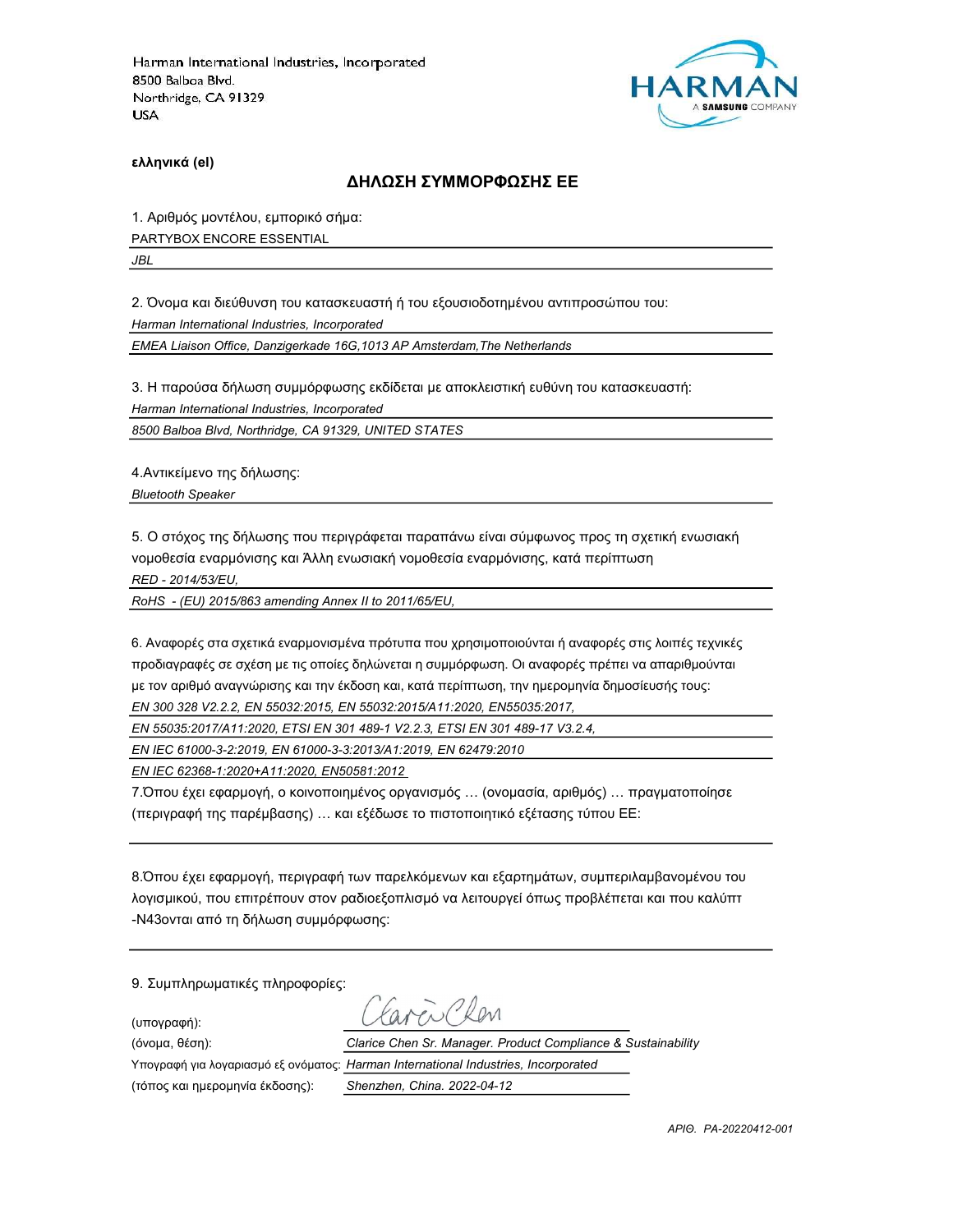

ελληνικά (el)

#### ΔΗΛΩΣΗ ΣΥΜΜΟΡΦΩΣΗΣ ΕΕ

1. Αριθμός μοντέλου, εμπορικό σήμα: PARTYBOX ENCORE ESSENTIAL

JBL

2. Όνομα και διεύθυνση του κατασκευαστή ή του εξουσιοδοτημένου αντιπροσώπου του:

Harman International Industries, Incorporated

EMEA Liaison Office, Danzigerkade 16G,1013 AP Amsterdam,The Netherlands

3. Η παρούσα δήλωση συμμόρφωσης εκδίδεται με αποκλειστική ευθύνη του κατασκευαστή:

Harman International Industries, Incorporated

8500 Balboa Blvd, Northridge, CA 91329, UNITED STATES

4.Αντικείμενο της δήλωσης:

Bluetooth Speaker

5. Ο στόχος της δήλωσης που περιγράφεται παραπάνω είναι σύμφωνος προς τη σχετική ενωσιακή νομοθεσία εναρμόνισης και Άλλη ενωσιακή νομοθεσία εναρμόνισης, κατά περίπτωση

RED - 2014/53/EU,

RoHS - (EU) 2015/863 amending Annex II to 2011/65/EU,

6. Αναφορές στα σχετικά εναρμονισμένα πρότυπα που χρησιμοποιούνται ή αναφορές στις λοιπές τεχνικές προδιαγραφές σε σχέση με τις οποίες δηλώνεται η συμμόρφωση. Οι αναφορές πρέπει να απαριθμούνται με τον αριθμό αναγνώρισης και την έκδοση και, κατά περίπτωση, την ημερομηνία δημοσίευσής τους: EN 300 328 V2.2.2, EN 55032:2015, EN 55032:2015/A11:2020, EN55035:2017,

EN 55035:2017/A11:2020, ETSI EN 301 489-1 V2.2.3, ETSI EN 301 489-17 V3.2.4,

EN IEC 61000-3-2:2019, EN 61000-3-3:2013/A1:2019, EN 62479:2010

EN IEC 62368-1:2020+A11:2020, EN50581:2012

7.Όπου έχει εφαρμογή, ο κοινοποιημένος οργανισμός … (ονομασία, αριθμός) … πραγματοποίησε (περιγραφή της παρέμβασης) … και εξέδωσε το πιστοποιητικό εξέτασης τύπου ΕΕ:

8.Όπου έχει εφαρμογή, περιγραφή των παρελκόμενων και εξαρτημάτων, συμπεριλαμβανομένου του λογισμικού, που επιτρέπουν στον ραδιοεξοπλισμό να λειτουργεί όπως προβλέπεται και που καλύπτ -N43ονται από τη δήλωση συμμόρφωσης:

9. Συμπληρωματικές πληροφορίες:

(υπογραφή):

avenClen

(όνομα, θέση): Clarice Chen Sr. Manager. Product Compliance & Sustainability Υπογραφή για λογαριασμό εξ ονόματος: Harman International Industries, Incorporated

(τόπος και ημερομηνία έκδοσης): Shenzhen, China. 2022-04-12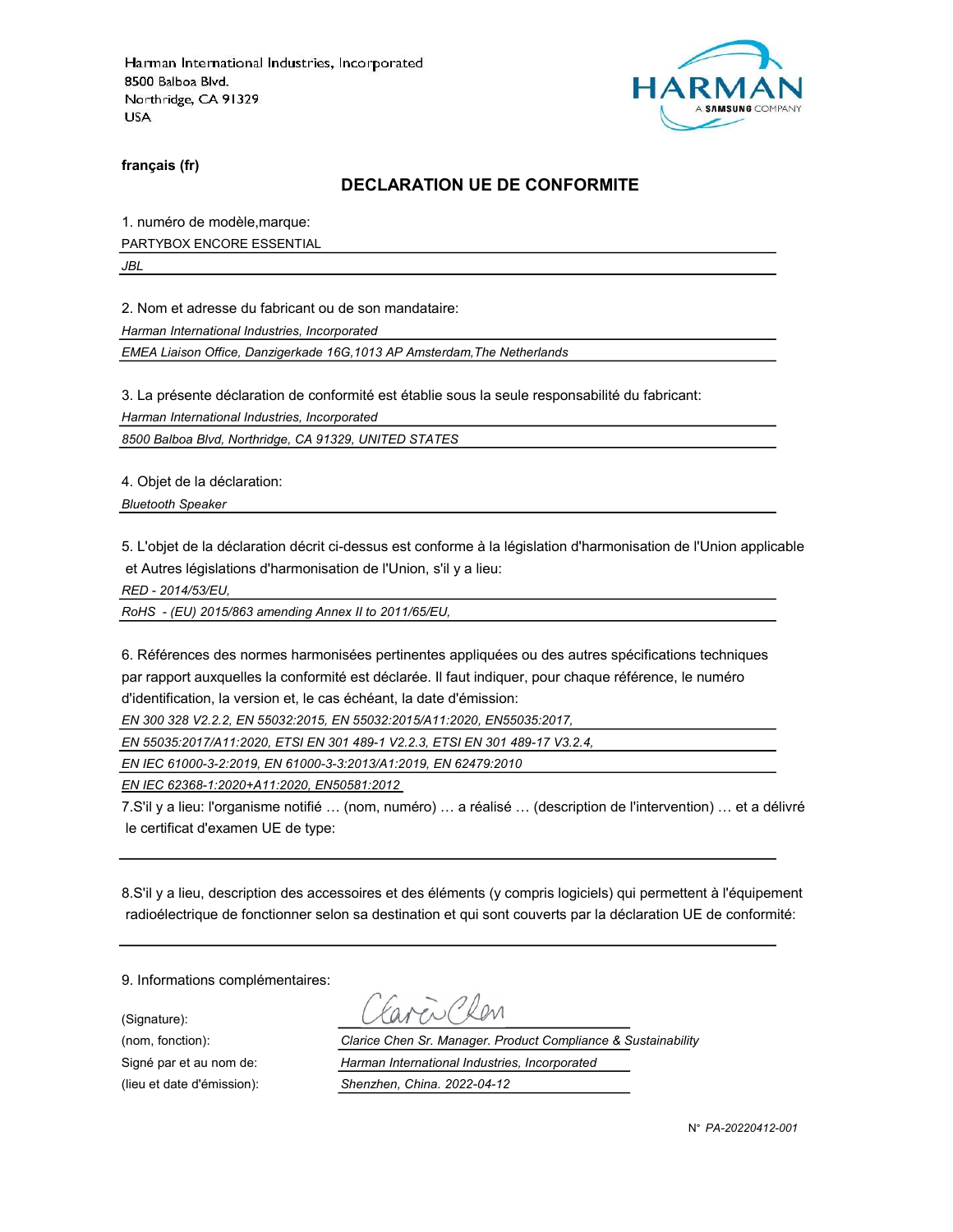

français (fr)

#### DECLARATION UE DE CONFORMITE

1. numéro de modèle,marque:

PARTYBOX ENCORE ESSENTIAL

JBL

2. Nom et adresse du fabricant ou de son mandataire:

Harman International Industries, Incorporated

EMEA Liaison Office, Danzigerkade 16G,1013 AP Amsterdam,The Netherlands

3. La présente déclaration de conformité est établie sous la seule responsabilité du fabricant:

Harman International Industries, Incorporated

8500 Balboa Blvd, Northridge, CA 91329, UNITED STATES

4. Objet de la déclaration:

Bluetooth Speaker

5. L'objet de la déclaration décrit ci-dessus est conforme à la législation d'harmonisation de l'Union applicable et Autres législations d'harmonisation de l'Union, s'il y a lieu:

RED - 2014/53/EU,

RoHS - (EU) 2015/863 amending Annex II to 2011/65/EU,

6. Références des normes harmonisées pertinentes appliquées ou des autres spécifications techniques par rapport auxquelles la conformité est déclarée. Il faut indiquer, pour chaque référence, le numéro d'identification, la version et, le cas échéant, la date d'émission:

EN 300 328 V2.2.2, EN 55032:2015, EN 55032:2015/A11:2020, EN55035:2017,

EN 55035:2017/A11:2020, ETSI EN 301 489-1 V2.2.3, ETSI EN 301 489-17 V3.2.4,

EN IEC 61000-3-2:2019, EN 61000-3-3:2013/A1:2019, EN 62479:2010

EN IEC 62368-1:2020+A11:2020, EN50581:2012

7.S'il y a lieu: l'organisme notifié … (nom, numéro) … a réalisé … (description de l'intervention) … et a délivré le certificat d'examen UE de type:

8.S'il y a lieu, description des accessoires et des éléments (y compris logiciels) qui permettent à l'équipement radioélectrique de fonctionner selon sa destination et qui sont couverts par la déclaration UE de conformité:

9. Informations complémentaires:

(Signature):

(nom, fonction): Clarice Chen Sr. Manager. Product Compliance & Sustainability Signé par et au nom de: Harman International Industries, Incorporated (lieu et date d'émission): Shenzhen, China. 2022-04-12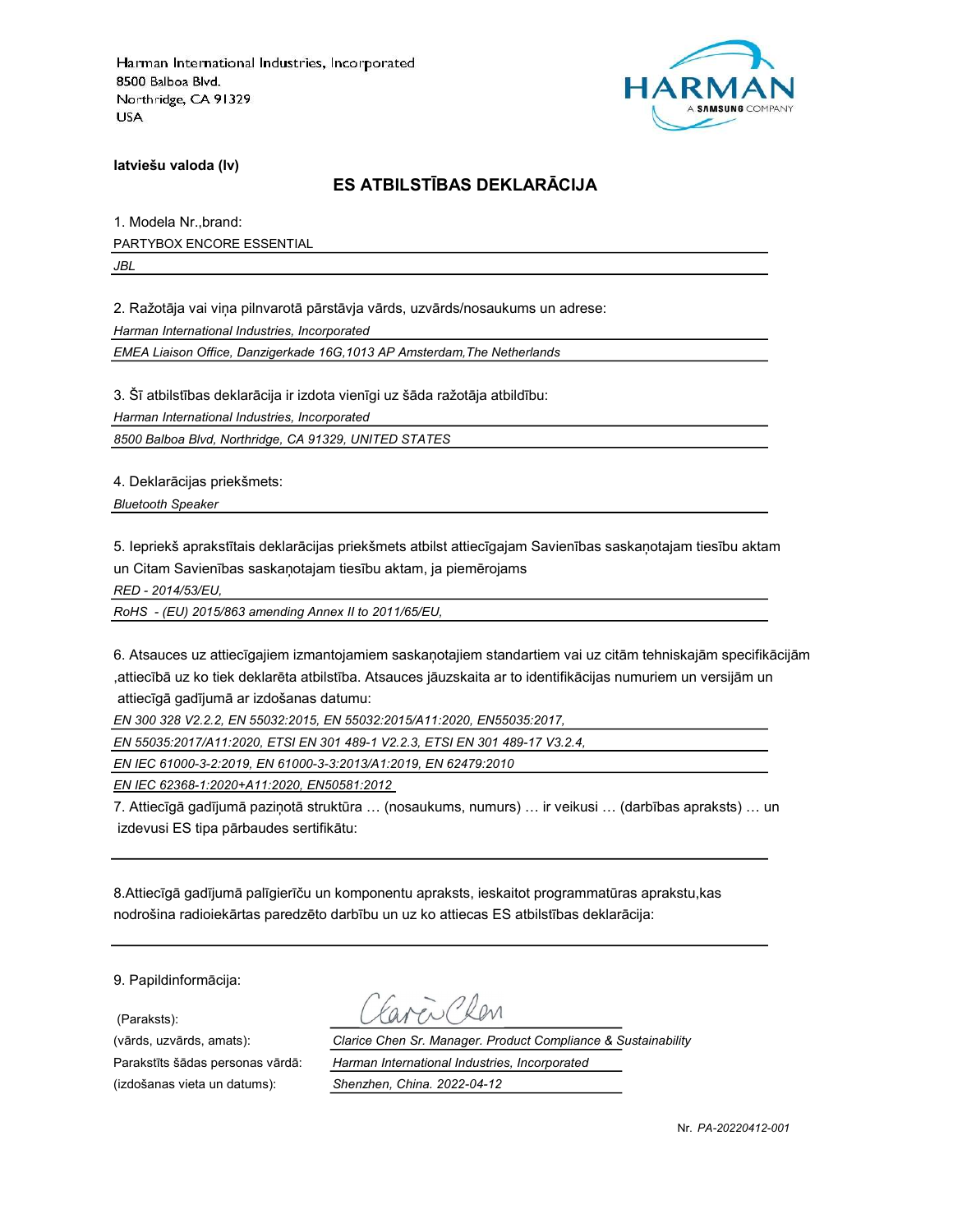

latviešu valoda (lv)

# ES ATBILSTĪBAS DEKLARĀCIJA

1. Modela Nr.,brand: PARTYBOX ENCORE ESSENTIAL

JBL

2. Ražotāja vai viņa pilnvarotā pārstāvja vārds, uzvārds/nosaukums un adrese:

Harman International Industries, Incorporated

EMEA Liaison Office, Danzigerkade 16G,1013 AP Amsterdam,The Netherlands

3. Šī atbilstības deklarācija ir izdota vienīgi uz šāda ražotāja atbildību:

Harman International Industries, Incorporated

8500 Balboa Blvd, Northridge, CA 91329, UNITED STATES

4. Deklarācijas priekšmets:

Bluetooth Speaker

5. Iepriekš aprakstītais deklarācijas priekšmets atbilst attiecīgajam Savienības saskaņotajam tiesību aktam un Citam Savienības saskaņotajam tiesību aktam, ja piemērojams

RED - 2014/53/EU,

RoHS - (EU) 2015/863 amending Annex II to 2011/65/EU,

6. Atsauces uz attiecīgajiem izmantojamiem saskaņotajiem standartiem vai uz citām tehniskajām specifikācijām ,attiecībā uz ko tiek deklarēta atbilstība. Atsauces jāuzskaita ar to identifikācijas numuriem un versijām un attiecīgā gadījumā ar izdošanas datumu:

EN 300 328 V2.2.2, EN 55032:2015, EN 55032:2015/A11:2020, EN55035:2017,

EN 55035:2017/A11:2020, ETSI EN 301 489-1 V2.2.3, ETSI EN 301 489-17 V3.2.4,

EN IEC 61000-3-2:2019, EN 61000-3-3:2013/A1:2019, EN 62479:2010

EN IEC 62368-1:2020+A11:2020, EN50581:2012

7. Attiecīgā gadījumā paziņotā struktūra … (nosaukums, numurs) … ir veikusi … (darbības apraksts) … un izdevusi ES tipa pārbaudes sertifikātu:

8.Attiecīgā gadījumā palīgierīču un komponentu apraksts, ieskaitot programmatūras aprakstu,kas nodrošina radioiekārtas paredzēto darbību un uz ko attiecas ES atbilstības deklarācija:

9. Papildinformācija:

(Paraksts):

(izdošanas vieta un datums): Shenzhen, China. 2022-04-12

(vārds, uzvārds, amats): Clarice Chen Sr. Manager. Product Compliance & Sustainability Parakstīts šādas personas vārdā: Harman International Industries, Incorporated

Nr. PA-20220412-001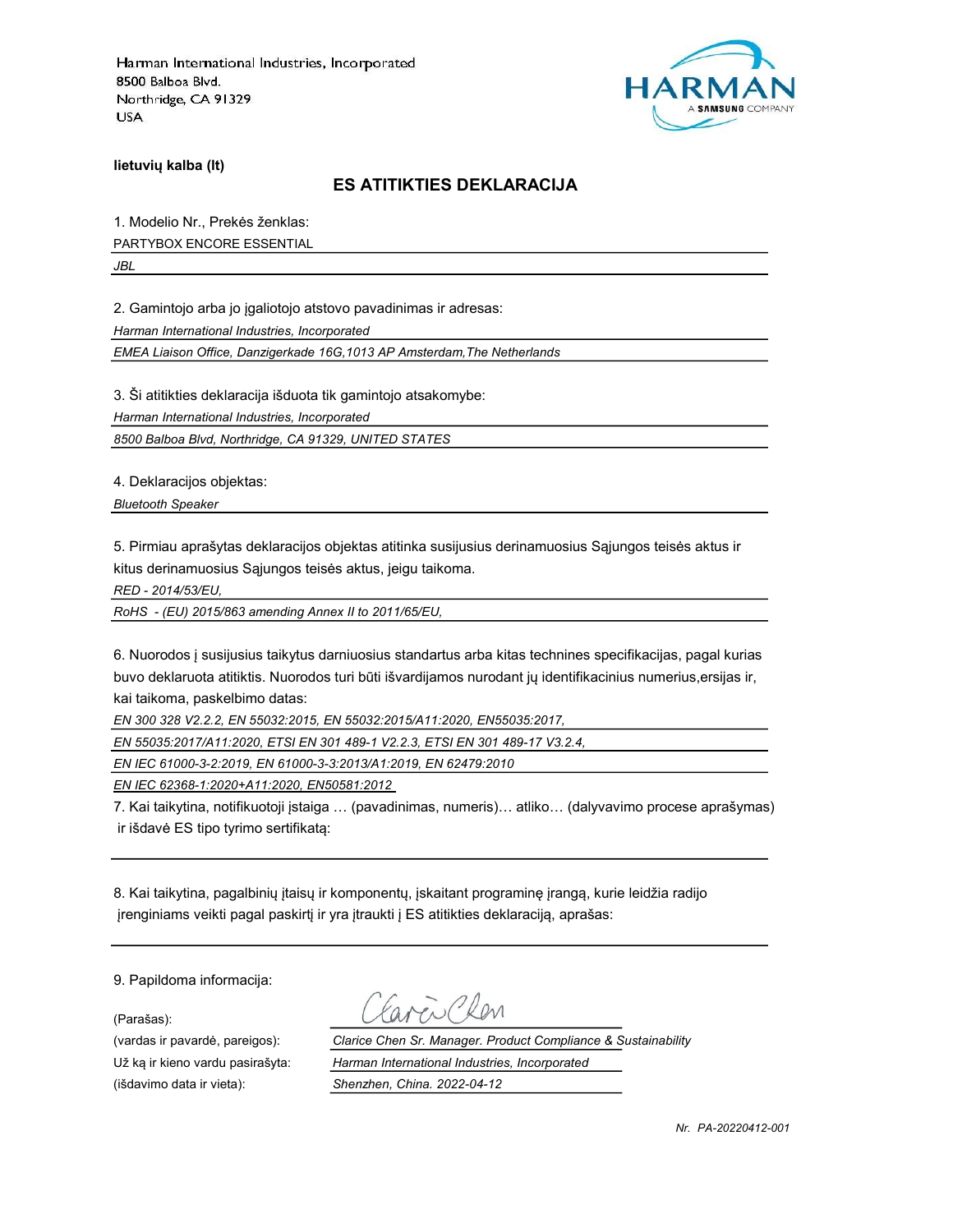

lietuvių kalba (lt)

#### ES ATITIKTIES DEKLARACIJA

1. Modelio Nr., Prekės ženklas:

PARTYBOX ENCORE ESSENTIAL

JBL

2. Gamintojo arba jo įgaliotojo atstovo pavadinimas ir adresas:

Harman International Industries, Incorporated

EMEA Liaison Office, Danzigerkade 16G,1013 AP Amsterdam,The Netherlands

3. Ši atitikties deklaracija išduota tik gamintojo atsakomybe:

Harman International Industries, Incorporated

8500 Balboa Blvd, Northridge, CA 91329, UNITED STATES

4. Deklaracijos objektas:

Bluetooth Speaker

5. Pirmiau aprašytas deklaracijos objektas atitinka susijusius derinamuosius Sąjungos teisės aktus ir kitus derinamuosius Sąjungos teisės aktus, jeigu taikoma.

RED - 2014/53/EU,

RoHS - (EU) 2015/863 amending Annex II to 2011/65/EU,

6. Nuorodos į susijusius taikytus darniuosius standartus arba kitas technines specifikacijas, pagal kurias buvo deklaruota atitiktis. Nuorodos turi būti išvardijamos nurodant jų identifikacinius numerius,ersijas ir, kai taikoma, paskelbimo datas:

EN 300 328 V2.2.2, EN 55032:2015, EN 55032:2015/A11:2020, EN55035:2017,

EN 55035:2017/A11:2020, ETSI EN 301 489-1 V2.2.3, ETSI EN 301 489-17 V3.2.4,

EN IEC 61000-3-2:2019, EN 61000-3-3:2013/A1:2019, EN 62479:2010

EN IEC 62368-1:2020+A11:2020, EN50581:2012

7. Kai taikytina, notifikuotoji įstaiga … (pavadinimas, numeris)… atliko… (dalyvavimo procese aprašymas) ir išdavė ES tipo tyrimo sertifikatą:

8. Kai taikytina, pagalbinių įtaisų ir komponentų, įskaitant programinę įrangą, kurie leidžia radijo įrenginiams veikti pagal paskirtį ir yra įtraukti į ES atitikties deklaraciją, aprašas:

9. Papildoma informacija:

(Parašas):

(išdavimo data ir vieta): Shenzhen, China. 2022-04-12

(vardas ir pavardė, pareigos): Clarice Chen Sr. Manager. Product Compliance & Sustainability Už ką ir kieno vardu pasirašyta: Harman International Industries, Incorporated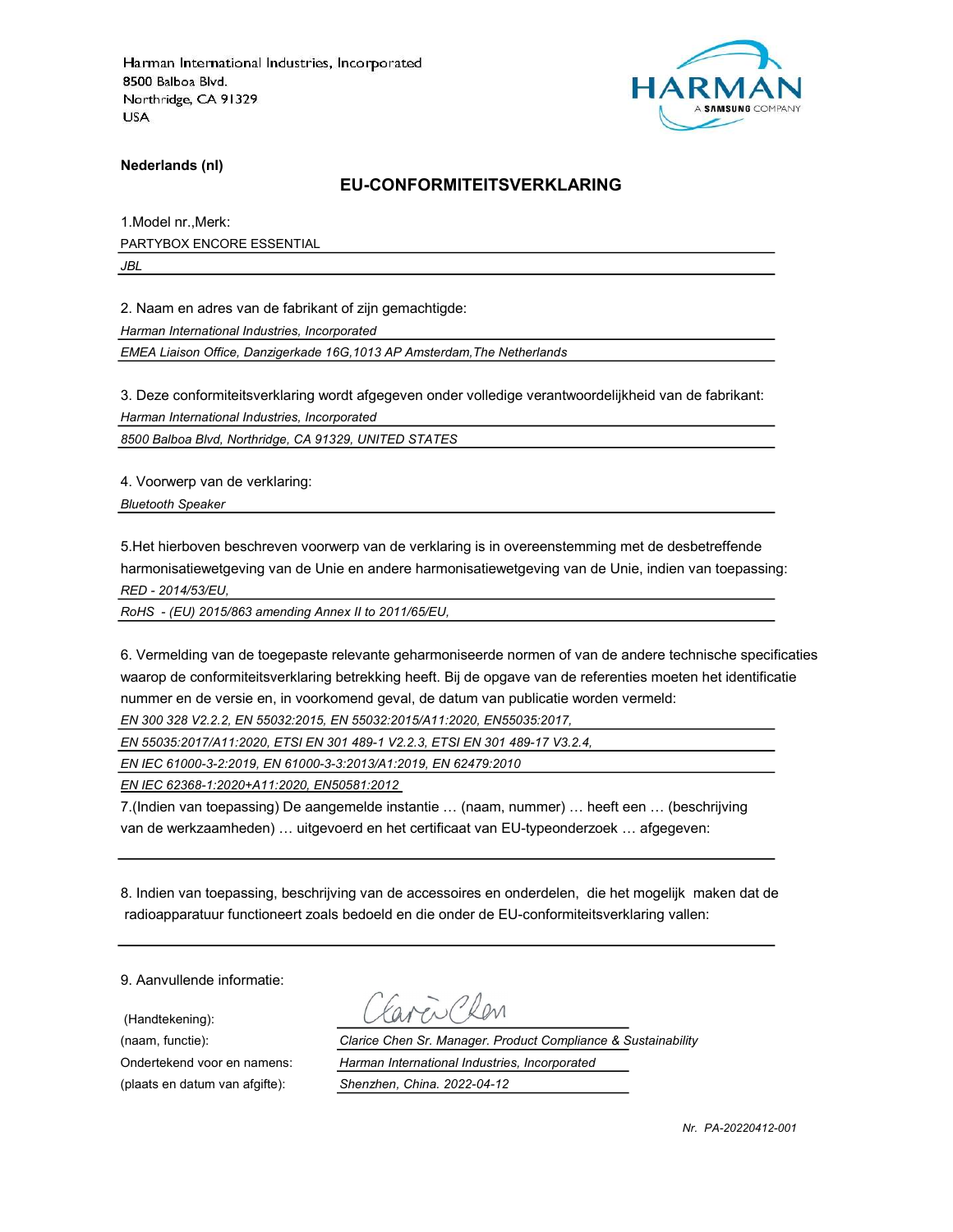

Nederlands (nl)

#### EU-CONFORMITEITSVERKLARING

1.Model nr.,Merk: PARTYBOX ENCORE ESSENTIAL

JBL

2. Naam en adres van de fabrikant of zijn gemachtigde:

Harman International Industries, Incorporated

EMEA Liaison Office, Danzigerkade 16G,1013 AP Amsterdam,The Netherlands

3. Deze conformiteitsverklaring wordt afgegeven onder volledige verantwoordelijkheid van de fabrikant:

Harman International Industries, Incorporated

8500 Balboa Blvd, Northridge, CA 91329, UNITED STATES

4. Voorwerp van de verklaring:

Bluetooth Speaker

5.Het hierboven beschreven voorwerp van de verklaring is in overeenstemming met de desbetreffende harmonisatiewetgeving van de Unie en andere harmonisatiewetgeving van de Unie, indien van toepassing: RED - 2014/53/EU,

RoHS - (EU) 2015/863 amending Annex II to 2011/65/EU,

6. Vermelding van de toegepaste relevante geharmoniseerde normen of van de andere technische specificaties waarop de conformiteitsverklaring betrekking heeft. Bij de opgave van de referenties moeten het identificatie nummer en de versie en, in voorkomend geval, de datum van publicatie worden vermeld:

EN 300 328 V2.2.2, EN 55032:2015, EN 55032:2015/A11:2020, EN55035:2017,

EN 55035:2017/A11:2020, ETSI EN 301 489-1 V2.2.3, ETSI EN 301 489-17 V3.2.4,

EN IEC 61000-3-2:2019, EN 61000-3-3:2013/A1:2019, EN 62479:2010

EN IEC 62368-1:2020+A11:2020, EN50581:2012

7.(Indien van toepassing) De aangemelde instantie … (naam, nummer) … heeft een … (beschrijving van de werkzaamheden) … uitgevoerd en het certificaat van EU-typeonderzoek … afgegeven:

8. Indien van toepassing, beschrijving van de accessoires en onderdelen, die het mogelijk maken dat de radioapparatuur functioneert zoals bedoeld en die onder de EU-conformiteitsverklaring vallen:

9. Aanvullende informatie:

(Handtekening):

(naam, functie): Clarice Chen Sr. Manager. Product Compliance & Sustainability Ondertekend voor en namens: Harman International Industries, Incorporated (plaats en datum van afgifte): Shenzhen, China. 2022-04-12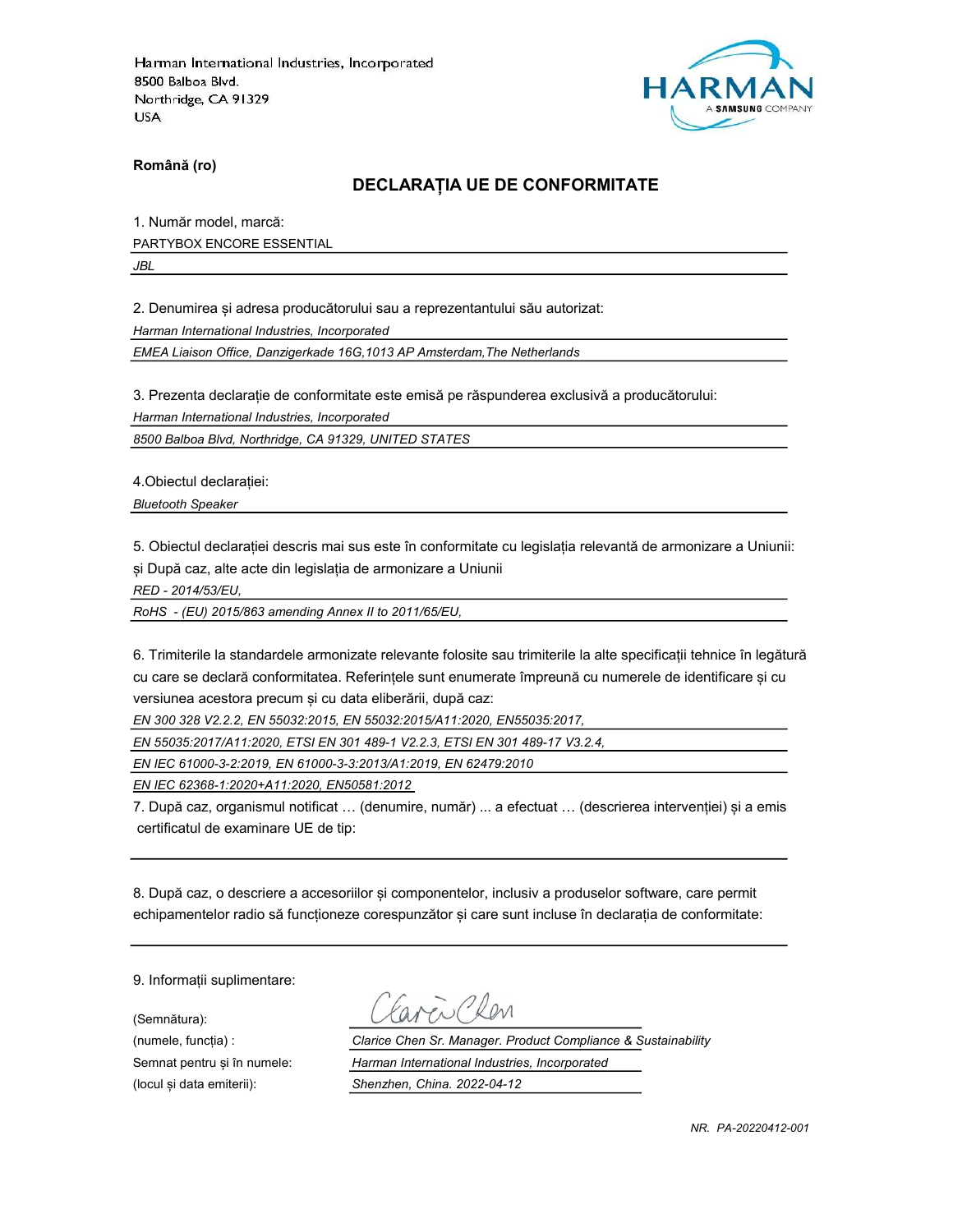

Română (ro)

#### DECLARAȚIA UE DE CONFORMITATE

1. Număr model, marcă:

PARTYBOX ENCORE ESSENTIAL

JBL

2. Denumirea și adresa producătorului sau a reprezentantului său autorizat:

Harman International Industries, Incorporated

EMEA Liaison Office, Danzigerkade 16G,1013 AP Amsterdam,The Netherlands

3. Prezenta declarație de conformitate este emisă pe răspunderea exclusivă a producătorului:

Harman International Industries, Incorporated

8500 Balboa Blvd, Northridge, CA 91329, UNITED STATES

4.Obiectul declarației:

Bluetooth Speaker

5. Obiectul declarației descris mai sus este în conformitate cu legislația relevantă de armonizare a Uniunii: și După caz, alte acte din legislația de armonizare a Uniunii

RED - 2014/53/EU,

RoHS - (EU) 2015/863 amending Annex II to 2011/65/EU,

6. Trimiterile la standardele armonizate relevante folosite sau trimiterile la alte specificații tehnice în legătură cu care se declară conformitatea. Referințele sunt enumerate împreună cu numerele de identificare și cu versiunea acestora precum și cu data eliberării, după caz:

EN 300 328 V2.2.2, EN 55032:2015, EN 55032:2015/A11:2020, EN55035:2017,

EN 55035:2017/A11:2020, ETSI EN 301 489-1 V2.2.3, ETSI EN 301 489-17 V3.2.4,

EN IEC 61000-3-2:2019, EN 61000-3-3:2013/A1:2019, EN 62479:2010

EN IEC 62368-1:2020+A11:2020, EN50581:2012

7. După caz, organismul notificat … (denumire, număr) ... a efectuat … (descrierea intervenției) și a emis certificatul de examinare UE de tip:

8. După caz, o descriere a accesoriilor și componentelor, inclusiv a produselor software, care permit echipamentelor radio să funcționeze corespunzător și care sunt incluse în declarația de conformitate:

9. Informații suplimentare:

(Semnătura):

(numele, funcția) : Clarice Chen Sr. Manager. Product Compliance & Sustainability Semnat pentru și în numele: Harman International Industries, Incorporated (locul și data emiterii): Shenzhen, China. 2022-04-12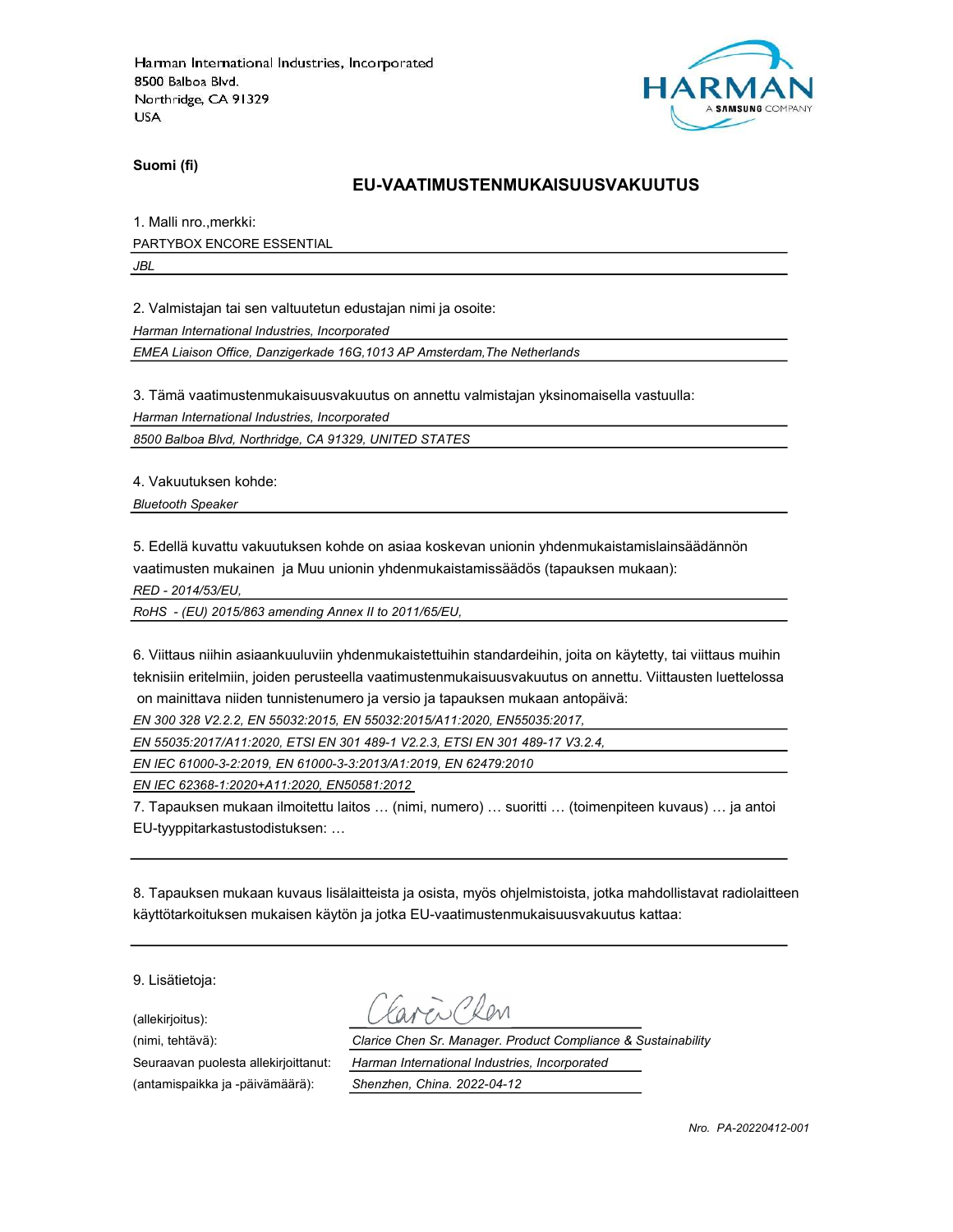

Suomi (fi)

#### EU-VAATIMUSTENMUKAISUUSVAKUUTUS

1. Malli nro.,merkki:

PARTYBOX ENCORE ESSENTIAL

JBL

2. Valmistajan tai sen valtuutetun edustajan nimi ja osoite:

Harman International Industries, Incorporated

EMEA Liaison Office, Danzigerkade 16G,1013 AP Amsterdam,The Netherlands

3. Tämä vaatimustenmukaisuusvakuutus on annettu valmistajan yksinomaisella vastuulla:

Harman International Industries, Incorporated

8500 Balboa Blvd, Northridge, CA 91329, UNITED STATES

4. Vakuutuksen kohde:

Bluetooth Speaker

5. Edellä kuvattu vakuutuksen kohde on asiaa koskevan unionin yhdenmukaistamislainsäädännön vaatimusten mukainen ja Muu unionin yhdenmukaistamissäädös (tapauksen mukaan):

RED - 2014/53/EU,

RoHS - (EU) 2015/863 amending Annex II to 2011/65/EU,

6. Viittaus niihin asiaankuuluviin yhdenmukaistettuihin standardeihin, joita on käytetty, tai viittaus muihin teknisiin eritelmiin, joiden perusteella vaatimustenmukaisuusvakuutus on annettu. Viittausten luettelossa on mainittava niiden tunnistenumero ja versio ja tapauksen mukaan antopäivä:

EN 300 328 V2.2.2, EN 55032:2015, EN 55032:2015/A11:2020, EN55035:2017,

EN 55035:2017/A11:2020, ETSI EN 301 489-1 V2.2.3, ETSI EN 301 489-17 V3.2.4,

EN IEC 61000-3-2:2019, EN 61000-3-3:2013/A1:2019, EN 62479:2010

EN IEC 62368-1:2020+A11:2020, EN50581:2012

7. Tapauksen mukaan ilmoitettu laitos … (nimi, numero) … suoritti … (toimenpiteen kuvaus) … ja antoi EU-tyyppitarkastustodistuksen: …

8. Tapauksen mukaan kuvaus lisälaitteista ja osista, myös ohjelmistoista, jotka mahdollistavat radiolaitteen käyttötarkoituksen mukaisen käytön ja jotka EU-vaatimustenmukaisuusvakuutus kattaa:

9. Lisätietoja:

(allekirjoitus):

(antamispaikka ja -päivämäärä): Shenzhen, China. 2022-04-12

(nimi, tehtävä): Clarice Chen Sr. Manager. Product Compliance & Sustainability Seuraavan puolesta allekirjoittanut: Harman International Industries, Incorporated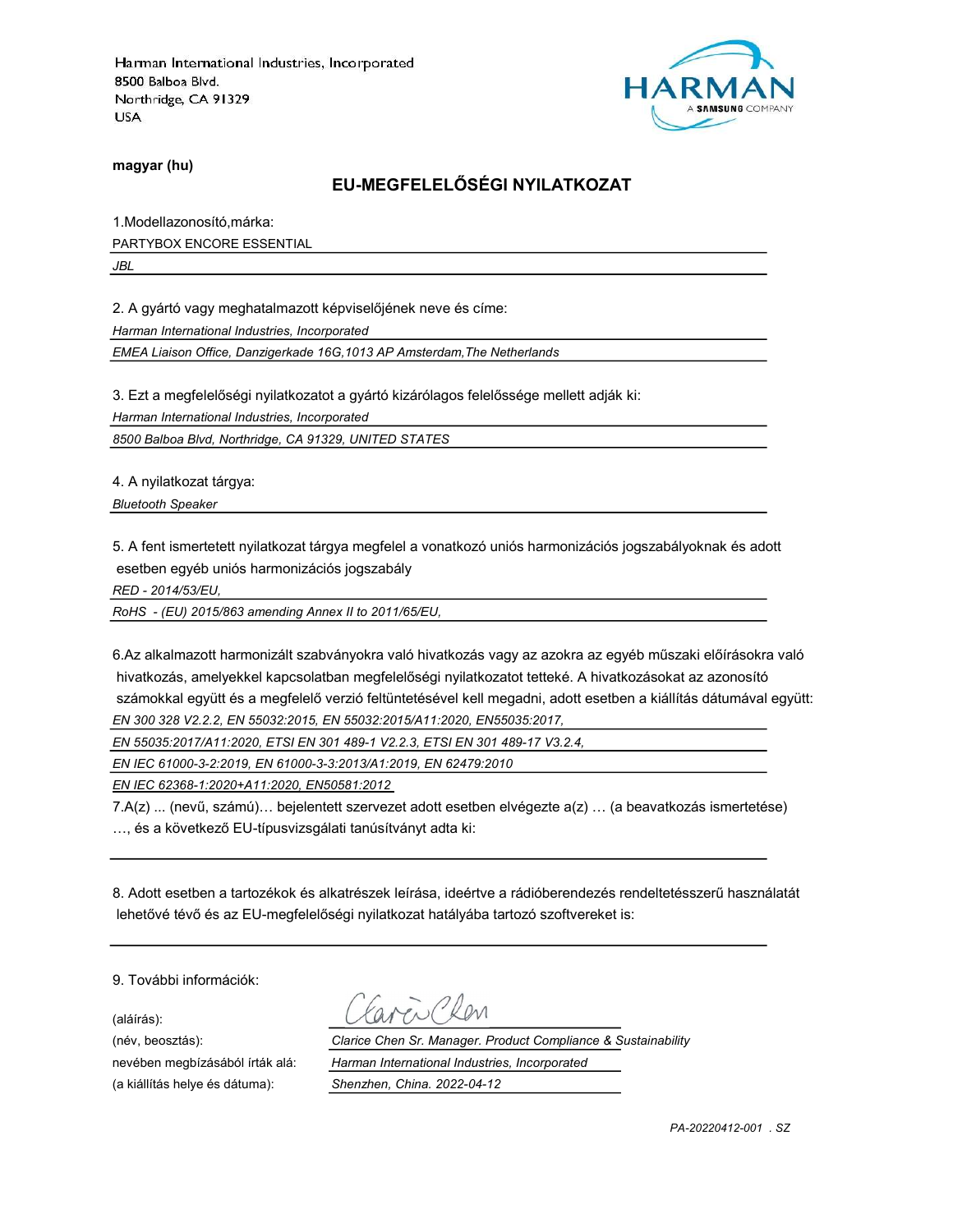

magyar (hu)

# EU-MEGFELELŐSÉGI NYILATKOZAT

1.Modellazonosító,márka: PARTYBOX ENCORE ESSENTIAL

JBL

2. A gyártó vagy meghatalmazott képviselőjének neve és címe:

Harman International Industries, Incorporated

EMEA Liaison Office, Danzigerkade 16G,1013 AP Amsterdam,The Netherlands

3. Ezt a megfelelőségi nyilatkozatot a gyártó kizárólagos felelőssége mellett adják ki:

Harman International Industries, Incorporated

8500 Balboa Blvd, Northridge, CA 91329, UNITED STATES

4. A nyilatkozat tárgya:

Bluetooth Speaker

5. A fent ismertetett nyilatkozat tárgya megfelel a vonatkozó uniós harmonizációs jogszabályoknak és adott esetben egyéb uniós harmonizációs jogszabály

RED - 2014/53/EU,

RoHS - (EU) 2015/863 amending Annex II to 2011/65/EU,

6.Az alkalmazott harmonizált szabványokra való hivatkozás vagy az azokra az egyéb műszaki előírásokra való hivatkozás, amelyekkel kapcsolatban megfelelőségi nyilatkozatot tetteké. A hivatkozásokat az azonosító számokkal együtt és a megfelelő verzió feltüntetésével kell megadni, adott esetben a kiállítás dátumával együtt: EN 300 328 V2.2.2, EN 55032:2015, EN 55032:2015/A11:2020, EN55035:2017,

EN 55035:2017/A11:2020, ETSI EN 301 489-1 V2.2.3, ETSI EN 301 489-17 V3.2.4,

EN IEC 61000-3-2:2019, EN 61000-3-3:2013/A1:2019, EN 62479:2010

EN IEC 62368-1:2020+A11:2020, EN50581:2012

7.A(z) ... (nevű, számú)… bejelentett szervezet adott esetben elvégezte a(z) … (a beavatkozás ismertetése) …, és a következő EU-típusvizsgálati tanúsítványt adta ki:

8. Adott esetben a tartozékok és alkatrészek leírása, ideértve a rádióberendezés rendeltetésszerű használatát lehetővé tévő és az EU-megfelelőségi nyilatkozat hatályába tartozó szoftvereket is:

9. További információk:

(aláírás):

(név, beosztás): Clarice Chen Sr. Manager. Product Compliance & Sustainability nevében megbízásából írták alá: Harman International Industries, Incorporated (a kiállítás helye és dátuma): Shenzhen, China. 2022-04-12

PA-20220412-001 . SZ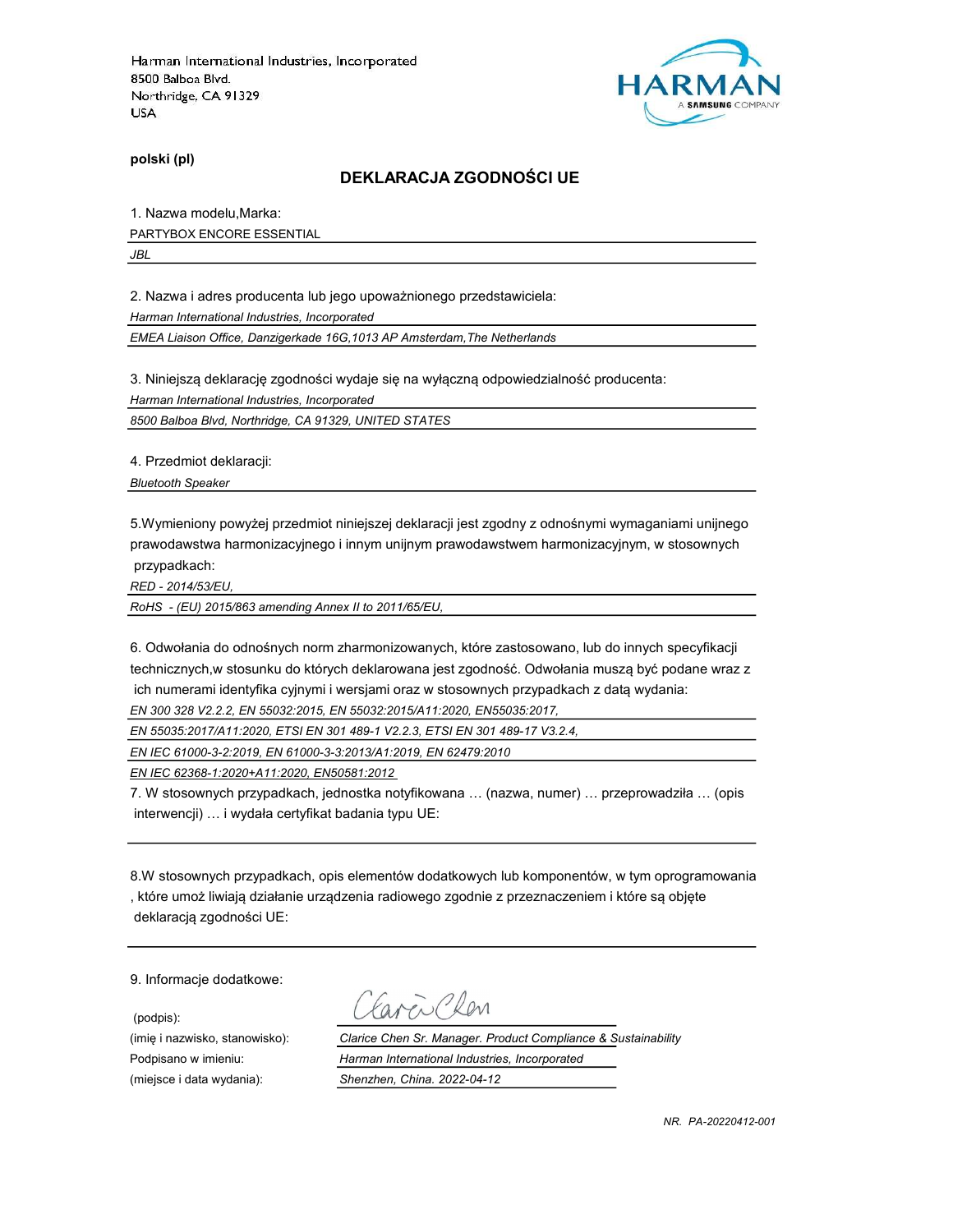

polski (pl)

#### DEKLARACJA ZGODNOŚCI UE

1. Nazwa modelu,Marka:

PARTYBOX ENCORE ESSENTIAL

JBL

2. Nazwa i adres producenta lub jego upoważnionego przedstawiciela:

Harman International Industries, Incorporated

EMEA Liaison Office, Danzigerkade 16G,1013 AP Amsterdam,The Netherlands

3. Niniejszą deklarację zgodności wydaje się na wyłączną odpowiedzialność producenta:

Harman International Industries, Incorporated

8500 Balboa Blvd, Northridge, CA 91329, UNITED STATES

4. Przedmiot deklaracji:

Bluetooth Speaker

5.Wymieniony powyżej przedmiot niniejszej deklaracji jest zgodny z odnośnymi wymaganiami unijnego prawodawstwa harmonizacyjnego i innym unijnym prawodawstwem harmonizacyjnym, w stosownych przypadkach:

RED - 2014/53/EU,

RoHS - (EU) 2015/863 amending Annex II to 2011/65/EU,

6. Odwołania do odnośnych norm zharmonizowanych, które zastosowano, lub do innych specyfikacji technicznych,w stosunku do których deklarowana jest zgodność. Odwołania muszą być podane wraz z ich numerami identyfika cyjnymi i wersjami oraz w stosownych przypadkach z datą wydania:

EN 300 328 V2.2.2, EN 55032:2015, EN 55032:2015/A11:2020, EN55035:2017,

EN 55035:2017/A11:2020, ETSI EN 301 489-1 V2.2.3, ETSI EN 301 489-17 V3.2.4,

EN IEC 61000-3-2:2019, EN 61000-3-3:2013/A1:2019, EN 62479:2010

EN IEC 62368-1:2020+A11:2020, EN50581:2012

7. W stosownych przypadkach, jednostka notyfikowana … (nazwa, numer) … przeprowadziła … (opis interwencji) … i wydała certyfikat badania typu UE:

8.W stosownych przypadkach, opis elementów dodatkowych lub komponentów, w tym oprogramowania , które umoż liwiają działanie urządzenia radiowego zgodnie z przeznaczeniem i które są objęte deklaracją zgodności UE:

9. Informacje dodatkowe:

(podpis):

Carci Clen

(imię i nazwisko, stanowisko): Clarice Chen Sr. Manager. Product Compliance & Sustainability Podpisano w imieniu: Harman International Industries, Incorporated (miejsce i data wydania): Shenzhen, China. 2022-04-12

NR. PA-20220412-001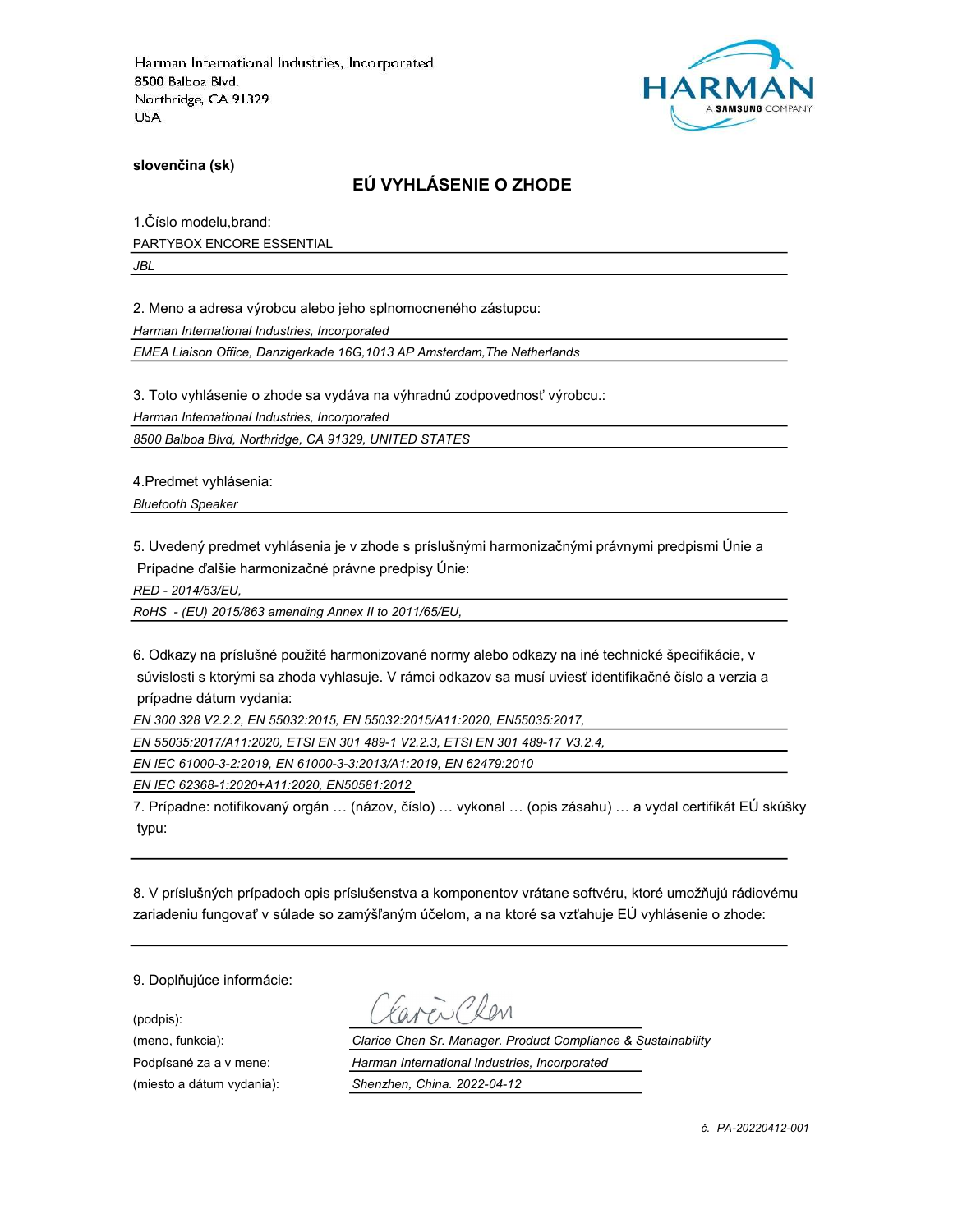

slovenčina (sk)

### EÚ VYHLÁSENIE O ZHODE

1.Číslo modelu,brand: PARTYBOX ENCORE ESSENTIAL

JBL

2. Meno a adresa výrobcu alebo jeho splnomocneného zástupcu:

Harman International Industries, Incorporated

EMEA Liaison Office, Danzigerkade 16G,1013 AP Amsterdam,The Netherlands

3. Toto vyhlásenie o zhode sa vydáva na výhradnú zodpovednosť výrobcu.:

Harman International Industries, Incorporated

8500 Balboa Blvd, Northridge, CA 91329, UNITED STATES

4.Predmet vyhlásenia:

Bluetooth Speaker

5. Uvedený predmet vyhlásenia je v zhode s príslušnými harmonizačnými právnymi predpismi Únie a Prípadne ďalšie harmonizačné právne predpisy Únie:

RED - 2014/53/EU,

RoHS - (EU) 2015/863 amending Annex II to 2011/65/EU,

6. Odkazy na príslušné použité harmonizované normy alebo odkazy na iné technické špecifikácie, v súvislosti s ktorými sa zhoda vyhlasuje. V rámci odkazov sa musí uviesť identifikačné číslo a verzia a prípadne dátum vydania:

EN 300 328 V2.2.2, EN 55032:2015, EN 55032:2015/A11:2020, EN55035:2017,

EN 55035:2017/A11:2020, ETSI EN 301 489-1 V2.2.3, ETSI EN 301 489-17 V3.2.4,

EN IEC 61000-3-2:2019, EN 61000-3-3:2013/A1:2019, EN 62479:2010

EN IEC 62368-1:2020+A11:2020, EN50581:2012

7. Prípadne: notifikovaný orgán … (názov, číslo) … vykonal … (opis zásahu) … a vydal certifikát EÚ skúšky typu:

8. V príslušných prípadoch opis príslušenstva a komponentov vrátane softvéru, ktoré umožňujú rádiovému zariadeniu fungovať v súlade so zamýšľaným účelom, a na ktoré sa vzťahuje EÚ vyhlásenie o zhode:

9. Doplňujúce informácie:

(podpis):

(meno, funkcia): Clarice Chen Sr. Manager. Product Compliance & Sustainability Podpísané za a v mene: Harman International Industries, Incorporated (miesto a dátum vydania): Shenzhen, China. 2022-04-12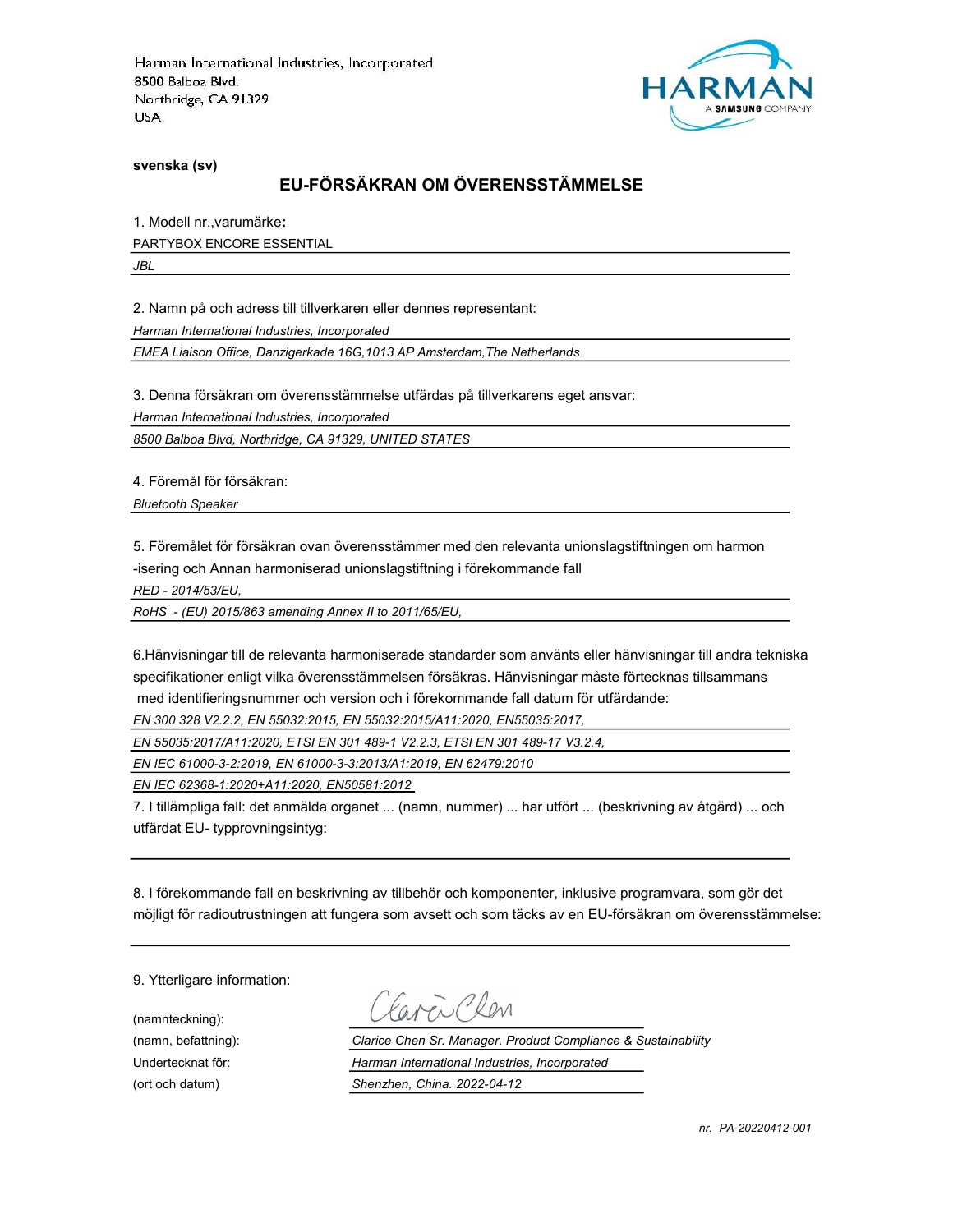

svenska (sv)

# EU-FÖRSÄKRAN OM ÖVERENSSTÄMMELSE

1. Modell nr.,varumärke:

PARTYBOX ENCORE ESSENTIAL

JBL

2. Namn på och adress till tillverkaren eller dennes representant:

Harman International Industries, Incorporated

EMEA Liaison Office, Danzigerkade 16G,1013 AP Amsterdam,The Netherlands

3. Denna försäkran om överensstämmelse utfärdas på tillverkarens eget ansvar:

Harman International Industries, Incorporated

8500 Balboa Blvd, Northridge, CA 91329, UNITED STATES

4. Föremål för försäkran:

Bluetooth Speaker

5. Föremålet för försäkran ovan överensstämmer med den relevanta unionslagstiftningen om harmon -isering och Annan harmoniserad unionslagstiftning i förekommande fall

RED - 2014/53/EU,

RoHS - (EU) 2015/863 amending Annex II to 2011/65/EU,

6.Hänvisningar till de relevanta harmoniserade standarder som använts eller hänvisningar till andra tekniska specifikationer enligt vilka överensstämmelsen försäkras. Hänvisningar måste förtecknas tillsammans med identifieringsnummer och version och i förekommande fall datum för utfärdande:

EN 300 328 V2.2.2, EN 55032:2015, EN 55032:2015/A11:2020, EN55035:2017,

EN 55035:2017/A11:2020, ETSI EN 301 489-1 V2.2.3, ETSI EN 301 489-17 V3.2.4,

EN IEC 61000-3-2:2019, EN 61000-3-3:2013/A1:2019, EN 62479:2010

EN IEC 62368-1:2020+A11:2020, EN50581:2012

7. I tillämpliga fall: det anmälda organet ... (namn, nummer) ... har utfört ... (beskrivning av åtgärd) ... och utfärdat EU- typprovningsintyg:

8. I förekommande fall en beskrivning av tillbehör och komponenter, inklusive programvara, som gör det möjligt för radioutrustningen att fungera som avsett och som täcks av en EU-försäkran om överensstämmelse:

9. Ytterligare information:

(namnteckning):

Carci Clen

(namn, befattning): Clarice Chen Sr. Manager. Product Compliance & Sustainability Undertecknat för: Harman International Industries, Incorporated (ort och datum) Shenzhen, China. 2022-04-12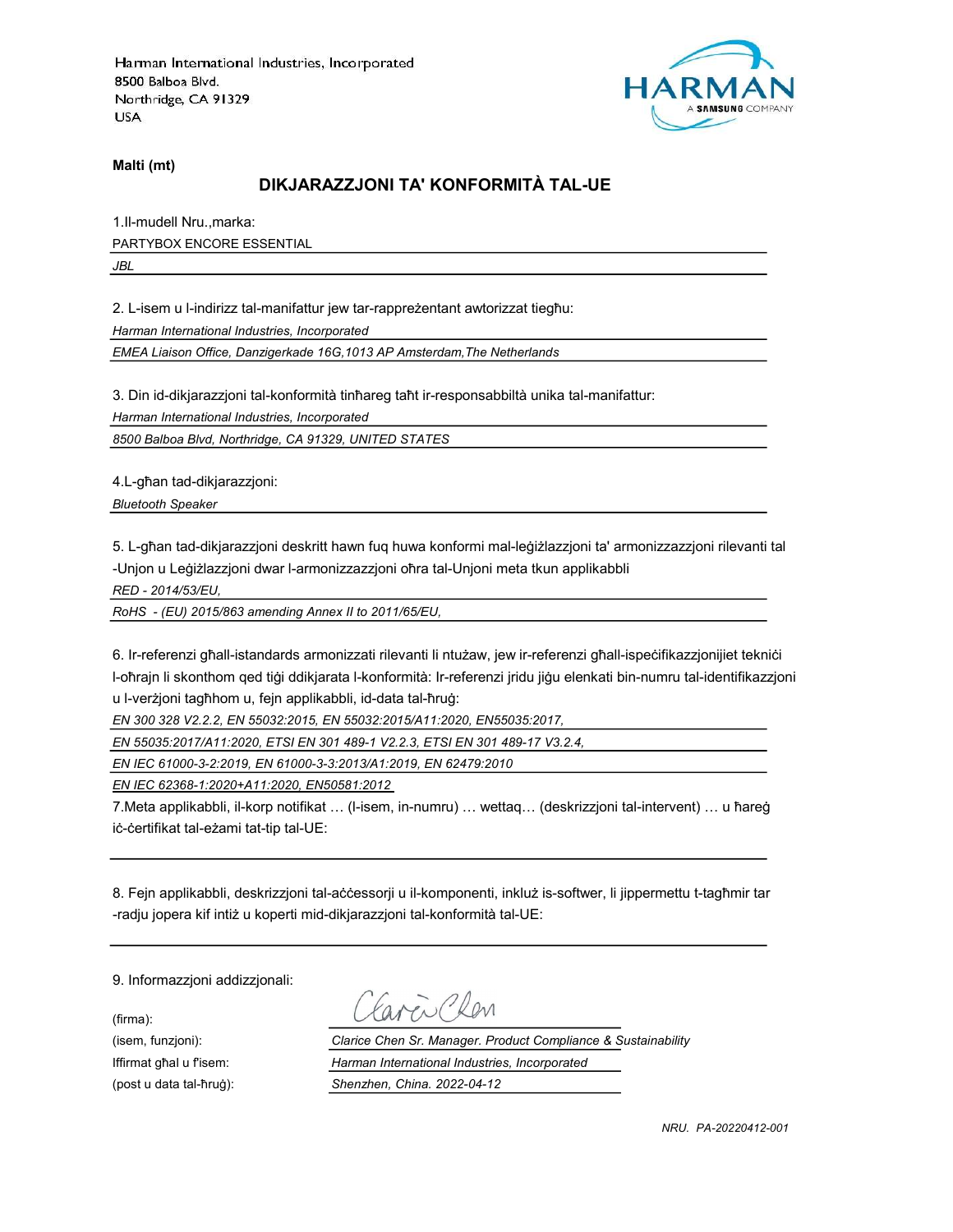

Malti (mt)

# DIKJARAZZJONI TA' KONFORMITÀ TAL-UE

1.Il-mudell Nru.,marka: PARTYBOX ENCORE ESSENTIAL JBL

2. L-isem u l-indirizz tal-manifattur jew tar-rappreżentant awtorizzat tiegħu:

Harman International Industries, Incorporated

EMEA Liaison Office, Danzigerkade 16G,1013 AP Amsterdam,The Netherlands

3. Din id-dikjarazzjoni tal-konformità tinħareg taħt ir-responsabbiltà unika tal-manifattur:

Harman International Industries, Incorporated

8500 Balboa Blvd, Northridge, CA 91329, UNITED STATES

4.L-għan tad-dikjarazzjoni:

Bluetooth Speaker

5. L-għan tad-dikjarazzjoni deskritt hawn fuq huwa konformi mal-leġiżlazzjoni ta' armonizzazzjoni rilevanti tal -Unjon u Leġiżlazzjoni dwar l-armonizzazzjoni oħra tal-Unjoni meta tkun applikabbli

RED - 2014/53/EU,

RoHS - (EU) 2015/863 amending Annex II to 2011/65/EU,

6. Ir-referenzi għall-istandards armonizzati rilevanti li ntużaw, jew ir-referenzi għall-ispeċifikazzjonijiet tekniċi l-oħrajn li skonthom qed tiġi ddikjarata l-konformità: Ir-referenzi jridu jiġu elenkati bin-numru tal-identifikazzjoni u l-verżjoni tagħhom u, fejn applikabbli, id-data tal-ħruġ:

EN 300 328 V2.2.2, EN 55032:2015, EN 55032:2015/A11:2020, EN55035:2017,

EN 55035:2017/A11:2020, ETSI EN 301 489-1 V2.2.3, ETSI EN 301 489-17 V3.2.4,

EN IEC 61000-3-2:2019, EN 61000-3-3:2013/A1:2019, EN 62479:2010

EN IEC 62368-1:2020+A11:2020, EN50581:2012

7.Meta applikabbli, il-korp notifikat … (l-isem, in-numru) … wettaq… (deskrizzjoni tal-intervent) … u ħareġ iċ-ċertifikat tal-eżami tat-tip tal-UE:

8. Fejn applikabbli, deskrizzjoni tal-aċċessorji u il-komponenti, inkluż is-softwer, li jippermettu t-tagħmir tar -radju jopera kif intiż u koperti mid-dikjarazzjoni tal-konformità tal-UE:

9. Informazzjoni addizzjonali:

(firma):

aven Clen

(isem, funzjoni): Clarice Chen Sr. Manager. Product Compliance & Sustainability Iffirmat għal u f'isem: Harman International Industries, Incorporated (post u data tal-ħruġ): Shenzhen, China. 2022-04-12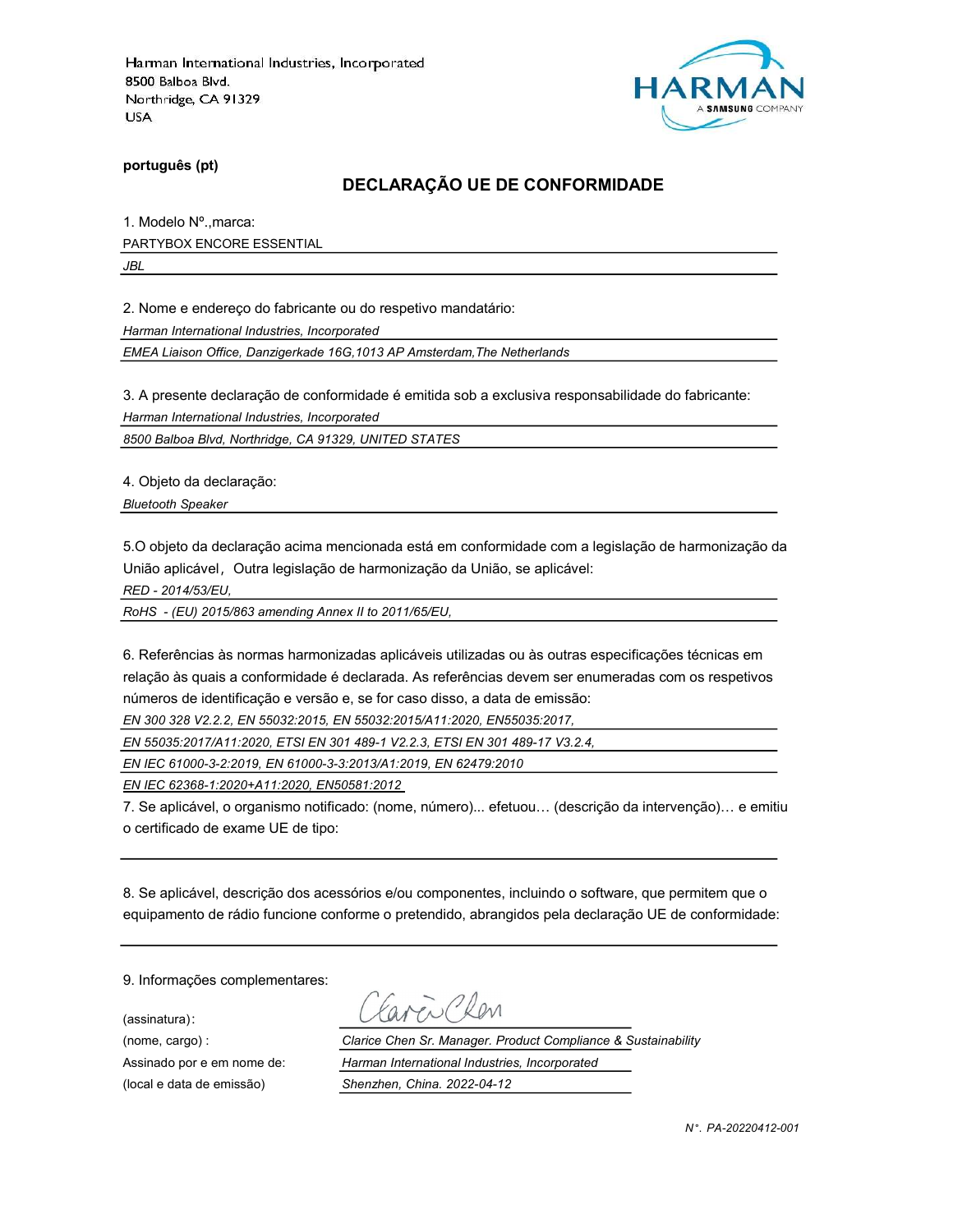

português (pt)

### DECLARAÇÃO UE DE CONFORMIDADE

1. Modelo Nº.,marca: PARTYBOX ENCORE ESSENTIAL

JBL

2. Nome e endereço do fabricante ou do respetivo mandatário:

Harman International Industries, Incorporated

EMEA Liaison Office, Danzigerkade 16G,1013 AP Amsterdam,The Netherlands

3. A presente declaração de conformidade é emitida sob a exclusiva responsabilidade do fabricante:

Harman International Industries, Incorporated

8500 Balboa Blvd, Northridge, CA 91329, UNITED STATES

4. Objeto da declaração:

Bluetooth Speaker

5.O objeto da declaração acima mencionada está em conformidade com a legislação de harmonização da União aplicável, Outra legislação de harmonização da União, se aplicável:

RED - 2014/53/EU,

RoHS - (EU) 2015/863 amending Annex II to 2011/65/EU,

6. Referências às normas harmonizadas aplicáveis utilizadas ou às outras especificações técnicas em relação às quais a conformidade é declarada. As referências devem ser enumeradas com os respetivos números de identificação e versão e, se for caso disso, a data de emissão:

EN 300 328 V2.2.2, EN 55032:2015, EN 55032:2015/A11:2020, EN55035:2017,

EN 55035:2017/A11:2020, ETSI EN 301 489-1 V2.2.3, ETSI EN 301 489-17 V3.2.4,

EN IEC 61000-3-2:2019, EN 61000-3-3:2013/A1:2019, EN 62479:2010

EN IEC 62368-1:2020+A11:2020, EN50581:2012

7. Se aplicável, o organismo notificado: (nome, número)... efetuou… (descrição da intervenção)… e emitiu o certificado de exame UE de tipo:

8. Se aplicável, descrição dos acessórios e/ou componentes, incluindo o software, que permitem que o equipamento de rádio funcione conforme o pretendido, abrangidos pela declaração UE de conformidade:

9. Informações complementares:

(assinatura):

avenChan

(nome, cargo) : Clarice Chen Sr. Manager. Product Compliance & Sustainability Assinado por e em nome de: Harman International Industries, Incorporated (local e data de emissão) Shenzhen, China. 2022-04-12